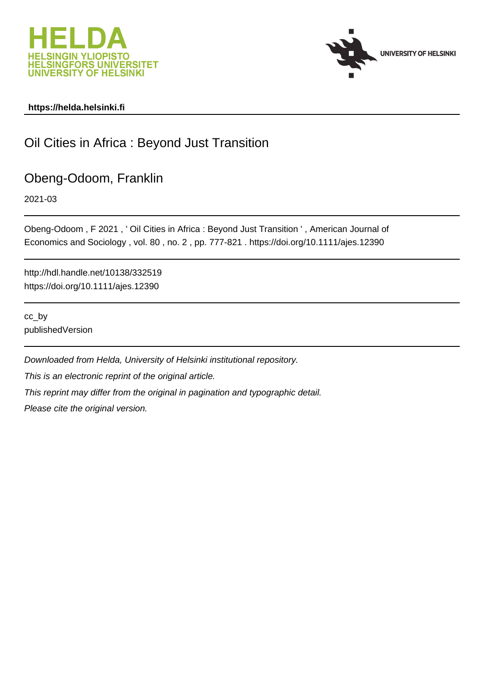



# **https://helda.helsinki.fi**

# Oil Cities in Africa : Beyond Just Transition

# Obeng-Odoom, Franklin

2021-03

Obeng-Odoom , F 2021 , ' Oil Cities in Africa : Beyond Just Transition ' , American Journal of Economics and Sociology , vol. 80 , no. 2 , pp. 777-821 . https://doi.org/10.1111/ajes.12390

http://hdl.handle.net/10138/332519 https://doi.org/10.1111/ajes.12390

cc\_by publishedVersion

Downloaded from Helda, University of Helsinki institutional repository. This is an electronic reprint of the original article. This reprint may differ from the original in pagination and typographic detail. Please cite the original version.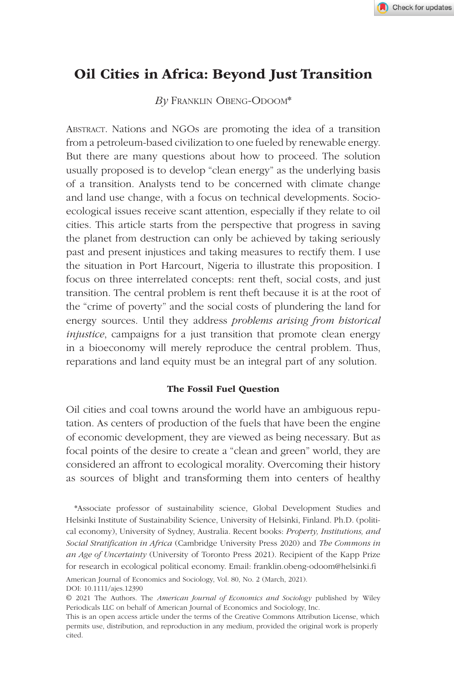# Oil Cities in Africa: Beyond Just Transition

*By* Franklin Obeng-Odoom\*

Abstract. Nations and NGOs are promoting the idea of a transition from a petroleum-based civilization to one fueled by renewable energy. But there are many questions about how to proceed. The solution usually proposed is to develop "clean energy" as the underlying basis of a transition. Analysts tend to be concerned with climate change and land use change, with a focus on technical developments. Socioecological issues receive scant attention, especially if they relate to oil cities. This article starts from the perspective that progress in saving the planet from destruction can only be achieved by taking seriously past and present injustices and taking measures to rectify them. I use the situation in Port Harcourt, Nigeria to illustrate this proposition. I focus on three interrelated concepts: rent theft, social costs, and just transition. The central problem is rent theft because it is at the root of the "crime of poverty" and the social costs of plundering the land for energy sources. Until they address *problems arising from historical injustice*, campaigns for a just transition that promote clean energy in a bioeconomy will merely reproduce the central problem. Thus, reparations and land equity must be an integral part of any solution.

#### The Fossil Fuel Question

Oil cities and coal towns around the world have an ambiguous reputation. As centers of production of the fuels that have been the engine of economic development, they are viewed as being necessary. But as focal points of the desire to create a "clean and green" world, they are considered an affront to ecological morality. Overcoming their history as sources of blight and transforming them into centers of healthy

\*Associate professor of sustainability science, Global Development Studies and Helsinki Institute of Sustainability Science, University of Helsinki, Finland. Ph.D. (political economy), University of Sydney, Australia. Recent books: *Property, Institutions, and Social Stratification in Africa* (Cambridge University Press 2020) and *The Commons in an Age of Uncertainty* (University of Toronto Press 2021). Recipient of the Kapp Prize for research in ecological political economy. Email: [franklin.obeng-odoom@helsinki.fi](mailto:franklin.obeng-­odoom@helsinki.fi)

American Journal of Economics and Sociology, Vol. 80, No. 2 (March, 2021).

DOI: 10.1111/ajes.12390

<sup>© 2021</sup> The Authors. The *American Journal of Economics and Sociology* published by Wiley Periodicals LLC on behalf of American Journal of Economics and Sociology, Inc.

This is an open access article under the terms of the [Creative Commons Attribution](http://creativecommons.org/licenses/by/4.0/) License, which permits use, distribution, and reproduction in any medium, provided the original work is properly cited.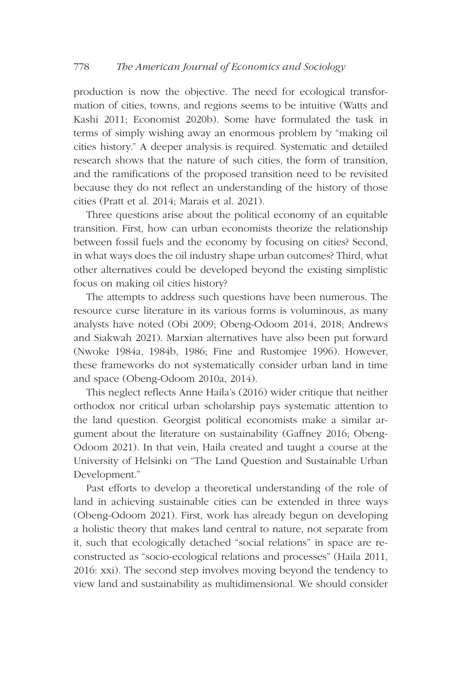# 778 *The American Journal of Economics and Sociology*

production is now the objective. The need for ecological transformation of cities, towns, and regions seems to be intuitive (Watts and Kashi 2011; Economist 2020b). Some have formulated the task in terms of simply wishing away an enormous problem by "making oil cities history." A deeper analysis is required. Systematic and detailed research shows that the nature of such cities, the form of transition, and the ramifications of the proposed transition need to be revisited because they do not reflect an understanding of the history of those cities (Pratt et al. 2014; Marais et al. 2021).

Three questions arise about the political economy of an equitable transition. First, how can urban economists theorize the relationship between fossil fuels and the economy by focusing on cities? Second, in what ways does the oil industry shape urban outcomes? Third, what other alternatives could be developed beyond the existing simplistic focus on making oil cities history?

The attempts to address such questions have been numerous. The resource curse literature in its various forms is voluminous, as many analysts have noted (Obi 2009; Obeng-Odoom 2014, 2018; Andrews and Siakwah 2021). Marxian alternatives have also been put forward (Nwoke 1984a, 1984b, 1986; Fine and Rustomjee 1996). However, these frameworks do not systematically consider urban land in time and space (Obeng-Odoom 2010a, 2014).

This neglect reflects Anne Haila's (2016) wider critique that neither orthodox nor critical urban scholarship pays systematic attention to the land question. Georgist political economists make a similar argument about the literature on sustainability (Gaffney 2016; Obeng-Odoom 2021). In that vein, Haila created and taught a course at the University of Helsinki on "The Land Question and Sustainable Urban Development."

Past efforts to develop a theoretical understanding of the role of land in achieving sustainable cities can be extended in three ways (Obeng-Odoom 2021). First, work has already begun on developing a holistic theory that makes land central to nature, not separate from it, such that ecologically detached "social relations" in space are reconstructed as "socio-ecological relations and processes" (Haila 2011, 2016: xxi). The second step involves moving beyond the tendency to view land and sustainability as multidimensional. We should consider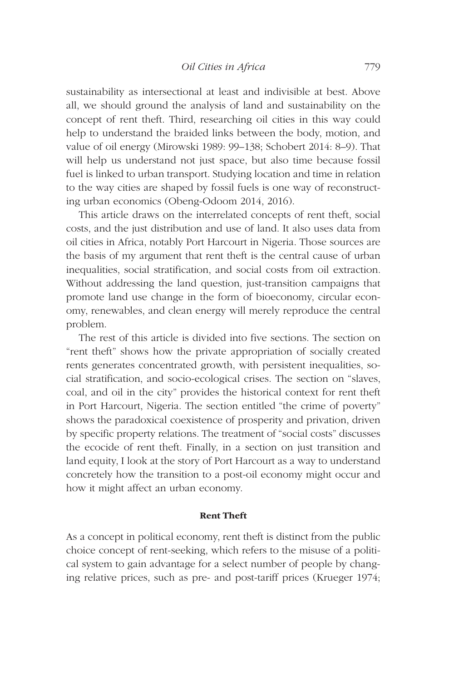sustainability as intersectional at least and indivisible at best. Above all, we should ground the analysis of land and sustainability on the concept of rent theft. Third, researching oil cities in this way could help to understand the braided links between the body, motion, and value of oil energy (Mirowski 1989: 99–138; Schobert 2014: 8–9). That will help us understand not just space, but also time because fossil fuel is linked to urban transport. Studying location and time in relation to the way cities are shaped by fossil fuels is one way of reconstructing urban economics (Obeng-Odoom 2014, 2016).

This article draws on the interrelated concepts of rent theft, social costs, and the just distribution and use of land. It also uses data from oil cities in Africa, notably Port Harcourt in Nigeria. Those sources are the basis of my argument that rent theft is the central cause of urban inequalities, social stratification, and social costs from oil extraction. Without addressing the land question, just-transition campaigns that promote land use change in the form of bioeconomy, circular economy, renewables, and clean energy will merely reproduce the central problem.

The rest of this article is divided into five sections. The section on "rent theft" shows how the private appropriation of socially created rents generates concentrated growth, with persistent inequalities, social stratification, and socio-ecological crises. The section on "slaves, coal, and oil in the city" provides the historical context for rent theft in Port Harcourt, Nigeria. The section entitled "the crime of poverty" shows the paradoxical coexistence of prosperity and privation, driven by specific property relations. The treatment of "social costs" discusses the ecocide of rent theft. Finally, in a section on just transition and land equity, I look at the story of Port Harcourt as a way to understand concretely how the transition to a post-oil economy might occur and how it might affect an urban economy.

#### Rent Theft

As a concept in political economy, rent theft is distinct from the public choice concept of rent-seeking, which refers to the misuse of a political system to gain advantage for a select number of people by changing relative prices, such as pre- and post-tariff prices (Krueger 1974;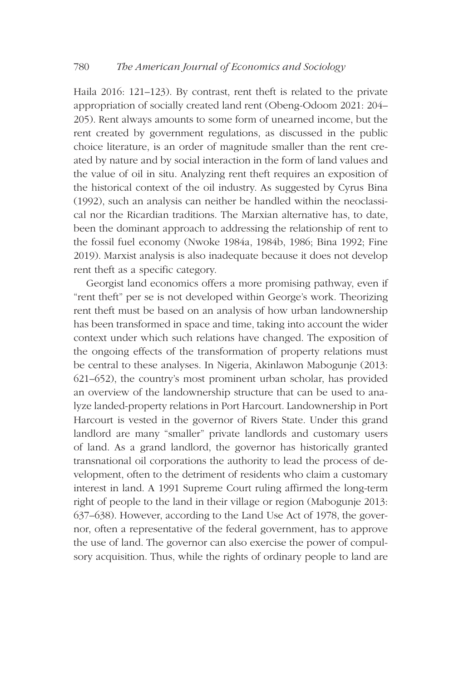Haila 2016: 121–123). By contrast, rent theft is related to the private appropriation of socially created land rent (Obeng-Odoom 2021: 204– 205). Rent always amounts to some form of unearned income, but the rent created by government regulations, as discussed in the public choice literature, is an order of magnitude smaller than the rent created by nature and by social interaction in the form of land values and the value of oil in situ. Analyzing rent theft requires an exposition of the historical context of the oil industry. As suggested by Cyrus Bina (1992), such an analysis can neither be handled within the neoclassical nor the Ricardian traditions. The Marxian alternative has, to date, been the dominant approach to addressing the relationship of rent to the fossil fuel economy (Nwoke 1984a, 1984b, 1986; Bina 1992; Fine 2019). Marxist analysis is also inadequate because it does not develop rent theft as a specific category.

Georgist land economics offers a more promising pathway, even if "rent theft" per se is not developed within George's work. Theorizing rent theft must be based on an analysis of how urban landownership has been transformed in space and time, taking into account the wider context under which such relations have changed. The exposition of the ongoing effects of the transformation of property relations must be central to these analyses. In Nigeria, Akinlawon Mabogunje (2013: 621–652), the country's most prominent urban scholar, has provided an overview of the landownership structure that can be used to analyze landed-property relations in Port Harcourt. Landownership in Port Harcourt is vested in the governor of Rivers State. Under this grand landlord are many "smaller" private landlords and customary users of land. As a grand landlord, the governor has historically granted transnational oil corporations the authority to lead the process of development, often to the detriment of residents who claim a customary interest in land. A 1991 Supreme Court ruling affirmed the long-term right of people to the land in their village or region (Mabogunje 2013: 637–638). However, according to the Land Use Act of 1978, the governor, often a representative of the federal government, has to approve the use of land. The governor can also exercise the power of compulsory acquisition. Thus, while the rights of ordinary people to land are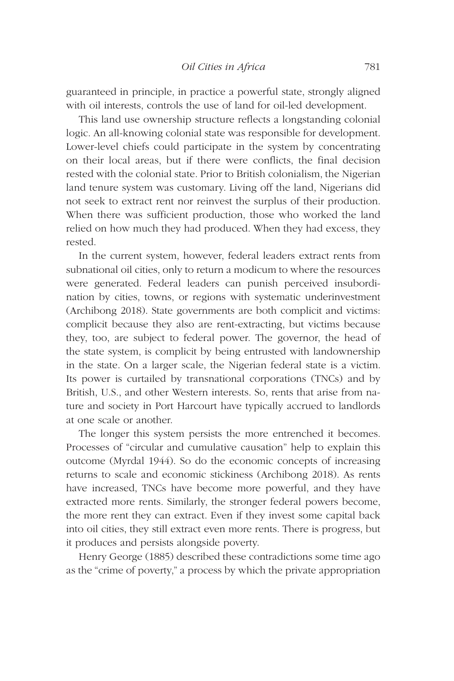guaranteed in principle, in practice a powerful state, strongly aligned with oil interests, controls the use of land for oil-led development.

This land use ownership structure reflects a longstanding colonial logic. An all-knowing colonial state was responsible for development. Lower-level chiefs could participate in the system by concentrating on their local areas, but if there were conflicts, the final decision rested with the colonial state. Prior to British colonialism, the Nigerian land tenure system was customary. Living off the land, Nigerians did not seek to extract rent nor reinvest the surplus of their production. When there was sufficient production, those who worked the land relied on how much they had produced. When they had excess, they rested.

In the current system, however, federal leaders extract rents from subnational oil cities, only to return a modicum to where the resources were generated. Federal leaders can punish perceived insubordination by cities, towns, or regions with systematic underinvestment (Archibong 2018). State governments are both complicit and victims: complicit because they also are rent-extracting, but victims because they, too, are subject to federal power. The governor, the head of the state system, is complicit by being entrusted with landownership in the state. On a larger scale, the Nigerian federal state is a victim. Its power is curtailed by transnational corporations (TNCs) and by British, U.S., and other Western interests. So, rents that arise from nature and society in Port Harcourt have typically accrued to landlords at one scale or another.

The longer this system persists the more entrenched it becomes. Processes of "circular and cumulative causation" help to explain this outcome (Myrdal 1944). So do the economic concepts of increasing returns to scale and economic stickiness (Archibong 2018). As rents have increased, TNCs have become more powerful, and they have extracted more rents. Similarly, the stronger federal powers become, the more rent they can extract. Even if they invest some capital back into oil cities, they still extract even more rents. There is progress, but it produces and persists alongside poverty.

Henry George (1885) described these contradictions some time ago as the "crime of poverty," a process by which the private appropriation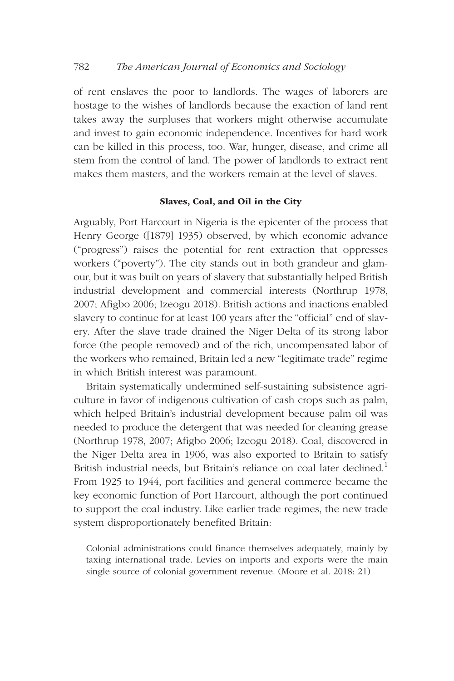of rent enslaves the poor to landlords. The wages of laborers are hostage to the wishes of landlords because the exaction of land rent takes away the surpluses that workers might otherwise accumulate and invest to gain economic independence. Incentives for hard work can be killed in this process, too. War, hunger, disease, and crime all stem from the control of land. The power of landlords to extract rent makes them masters, and the workers remain at the level of slaves.

#### Slaves, Coal, and Oil in the City

Arguably, Port Harcourt in Nigeria is the epicenter of the process that Henry George ([1879] 1935) observed, by which economic advance ("progress") raises the potential for rent extraction that oppresses workers ("poverty"). The city stands out in both grandeur and glamour, but it was built on years of slavery that substantially helped British industrial development and commercial interests (Northrup 1978, 2007; Afigbo 2006; Izeogu 2018). British actions and inactions enabled slavery to continue for at least 100 years after the "official" end of slavery. After the slave trade drained the Niger Delta of its strong labor force (the people removed) and of the rich, uncompensated labor of the workers who remained, Britain led a new "legitimate trade" regime in which British interest was paramount.

Britain systematically undermined self-sustaining subsistence agriculture in favor of indigenous cultivation of cash crops such as palm, which helped Britain's industrial development because palm oil was needed to produce the detergent that was needed for cleaning grease (Northrup 1978, 2007; Afigbo 2006; Izeogu 2018). Coal, discovered in the Niger Delta area in 1906, was also exported to Britain to satisfy British industrial needs, but Britain's reliance on coal later declined.<sup>1</sup> From 1925 to 1944, port facilities and general commerce became the key economic function of Port Harcourt, although the port continued to support the coal industry. Like earlier trade regimes, the new trade system disproportionately benefited Britain:

Colonial administrations could finance themselves adequately, mainly by taxing international trade. Levies on imports and exports were the main single source of colonial government revenue. (Moore et al. 2018: 21)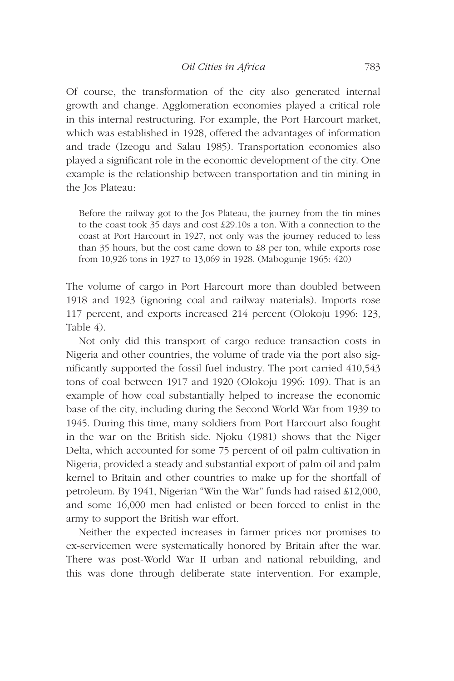Of course, the transformation of the city also generated internal growth and change. Agglomeration economies played a critical role in this internal restructuring. For example, the Port Harcourt market, which was established in 1928, offered the advantages of information and trade (Izeogu and Salau 1985). Transportation economies also played a significant role in the economic development of the city. One example is the relationship between transportation and tin mining in the Jos Plateau:

Before the railway got to the Jos Plateau, the journey from the tin mines to the coast took 35 days and cost £29.10s a ton. With a connection to the coast at Port Harcourt in 1927, not only was the journey reduced to less than 35 hours, but the cost came down to £8 per ton, while exports rose from 10,926 tons in 1927 to 13,069 in 1928. (Mabogunje 1965: 420)

The volume of cargo in Port Harcourt more than doubled between 1918 and 1923 (ignoring coal and railway materials). Imports rose 117 percent, and exports increased 214 percent (Olokoju 1996: 123, Table 4).

Not only did this transport of cargo reduce transaction costs in Nigeria and other countries, the volume of trade via the port also significantly supported the fossil fuel industry. The port carried 410,543 tons of coal between 1917 and 1920 (Olokoju 1996: 109). That is an example of how coal substantially helped to increase the economic base of the city, including during the Second World War from 1939 to 1945. During this time, many soldiers from Port Harcourt also fought in the war on the British side. Njoku (1981) shows that the Niger Delta, which accounted for some 75 percent of oil palm cultivation in Nigeria, provided a steady and substantial export of palm oil and palm kernel to Britain and other countries to make up for the shortfall of petroleum. By 1941, Nigerian "Win the War" funds had raised £12,000, and some 16,000 men had enlisted or been forced to enlist in the army to support the British war effort.

Neither the expected increases in farmer prices nor promises to ex-servicemen were systematically honored by Britain after the war. There was post-World War II urban and national rebuilding, and this was done through deliberate state intervention. For example,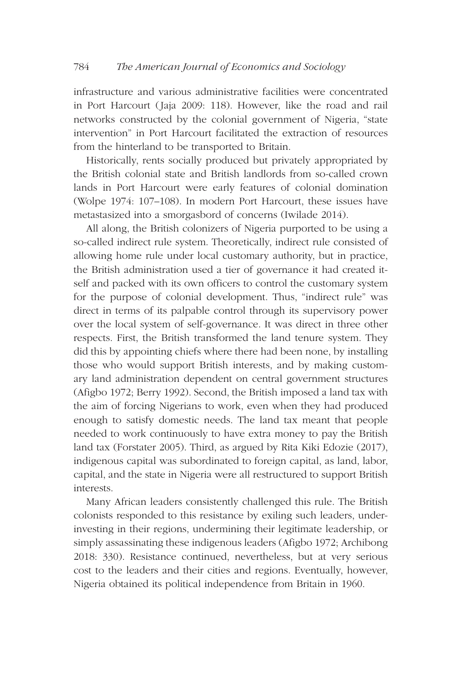infrastructure and various administrative facilities were concentrated in Port Harcourt (Jaja 2009: 118). However, like the road and rail networks constructed by the colonial government of Nigeria, "state intervention" in Port Harcourt facilitated the extraction of resources from the hinterland to be transported to Britain.

Historically, rents socially produced but privately appropriated by the British colonial state and British landlords from so-called crown lands in Port Harcourt were early features of colonial domination (Wolpe 1974: 107–108). In modern Port Harcourt, these issues have metastasized into a smorgasbord of concerns (Iwilade 2014).

All along, the British colonizers of Nigeria purported to be using a so-called indirect rule system. Theoretically, indirect rule consisted of allowing home rule under local customary authority, but in practice, the British administration used a tier of governance it had created itself and packed with its own officers to control the customary system for the purpose of colonial development. Thus, "indirect rule" was direct in terms of its palpable control through its supervisory power over the local system of self-governance. It was direct in three other respects. First, the British transformed the land tenure system. They did this by appointing chiefs where there had been none, by installing those who would support British interests, and by making customary land administration dependent on central government structures (Afigbo 1972; Berry 1992). Second, the British imposed a land tax with the aim of forcing Nigerians to work, even when they had produced enough to satisfy domestic needs. The land tax meant that people needed to work continuously to have extra money to pay the British land tax (Forstater 2005). Third, as argued by Rita Kiki Edozie (2017), indigenous capital was subordinated to foreign capital, as land, labor, capital, and the state in Nigeria were all restructured to support British interests.

Many African leaders consistently challenged this rule. The British colonists responded to this resistance by exiling such leaders, underinvesting in their regions, undermining their legitimate leadership, or simply assassinating these indigenous leaders (Afigbo 1972; Archibong 2018: 330). Resistance continued, nevertheless, but at very serious cost to the leaders and their cities and regions. Eventually, however, Nigeria obtained its political independence from Britain in 1960.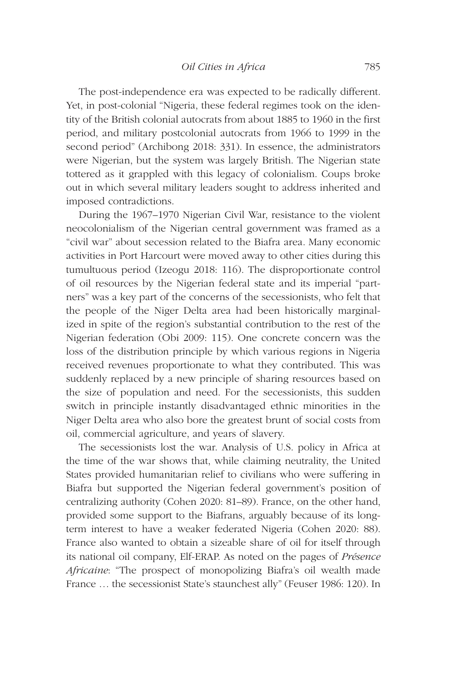The post-independence era was expected to be radically different. Yet, in post-colonial "Nigeria, these federal regimes took on the identity of the British colonial autocrats from about 1885 to 1960 in the first period, and military postcolonial autocrats from 1966 to 1999 in the second period" (Archibong 2018: 331). In essence, the administrators were Nigerian, but the system was largely British. The Nigerian state tottered as it grappled with this legacy of colonialism. Coups broke out in which several military leaders sought to address inherited and imposed contradictions.

During the 1967–1970 Nigerian Civil War, resistance to the violent neocolonialism of the Nigerian central government was framed as a "civil war" about secession related to the Biafra area. Many economic activities in Port Harcourt were moved away to other cities during this tumultuous period (Izeogu 2018: 116). The disproportionate control of oil resources by the Nigerian federal state and its imperial "partners" was a key part of the concerns of the secessionists, who felt that the people of the Niger Delta area had been historically marginalized in spite of the region's substantial contribution to the rest of the Nigerian federation (Obi 2009: 115). One concrete concern was the loss of the distribution principle by which various regions in Nigeria received revenues proportionate to what they contributed. This was suddenly replaced by a new principle of sharing resources based on the size of population and need. For the secessionists, this sudden switch in principle instantly disadvantaged ethnic minorities in the Niger Delta area who also bore the greatest brunt of social costs from oil, commercial agriculture, and years of slavery.

The secessionists lost the war. Analysis of U.S. policy in Africa at the time of the war shows that, while claiming neutrality, the United States provided humanitarian relief to civilians who were suffering in Biafra but supported the Nigerian federal government's position of centralizing authority (Cohen 2020: 81–89). France, on the other hand, provided some support to the Biafrans, arguably because of its longterm interest to have a weaker federated Nigeria (Cohen 2020: 88). France also wanted to obtain a sizeable share of oil for itself through its national oil company, Elf-ERAP. As noted on the pages of *Présence Africaine*: "The prospect of monopolizing Biafra's oil wealth made France … the secessionist State's staunchest ally" (Feuser 1986: 120). In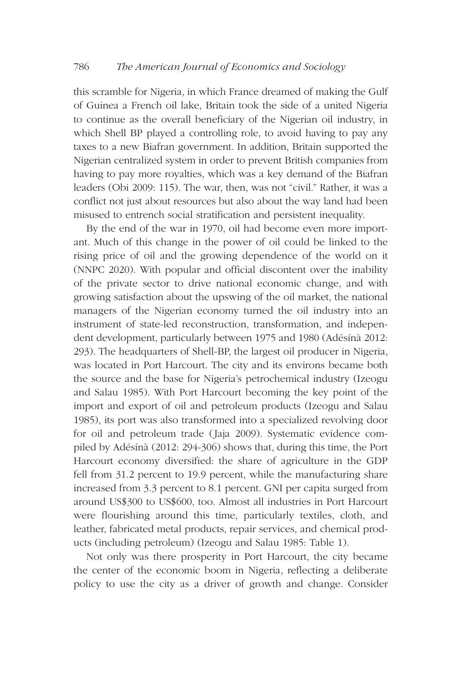this scramble for Nigeria, in which France dreamed of making the Gulf of Guinea a French oil lake, Britain took the side of a united Nigeria to continue as the overall beneficiary of the Nigerian oil industry, in which Shell BP played a controlling role, to avoid having to pay any taxes to a new Biafran government. In addition, Britain supported the Nigerian centralized system in order to prevent British companies from having to pay more royalties, which was a key demand of the Biafran leaders (Obi 2009: 115). The war, then, was not "civil." Rather, it was a conflict not just about resources but also about the way land had been misused to entrench social stratification and persistent inequality.

By the end of the war in 1970, oil had become even more important. Much of this change in the power of oil could be linked to the rising price of oil and the growing dependence of the world on it (NNPC 2020). With popular and official discontent over the inability of the private sector to drive national economic change, and with growing satisfaction about the upswing of the oil market, the national managers of the Nigerian economy turned the oil industry into an instrument of state-led reconstruction, transformation, and independent development, particularly between 1975 and 1980 (Adésínà 2012: 293). The headquarters of Shell-BP, the largest oil producer in Nigeria, was located in Port Harcourt. The city and its environs became both the source and the base for Nigeria's petrochemical industry (Izeogu and Salau 1985). With Port Harcourt becoming the key point of the import and export of oil and petroleum products (Izeogu and Salau 1985), its port was also transformed into a specialized revolving door for oil and petroleum trade (Jaja 2009). Systematic evidence compiled by Adésínà (2012: 294-306) shows that, during this time, the Port Harcourt economy diversified: the share of agriculture in the GDP fell from 31.2 percent to 19.9 percent, while the manufacturing share increased from 3.3 percent to 8.1 percent. GNI per capita surged from around US\$300 to US\$600, too. Almost all industries in Port Harcourt were flourishing around this time, particularly textiles, cloth, and leather, fabricated metal products, repair services, and chemical products (including petroleum) (Izeogu and Salau 1985: Table 1).

Not only was there prosperity in Port Harcourt, the city became the center of the economic boom in Nigeria, reflecting a deliberate policy to use the city as a driver of growth and change. Consider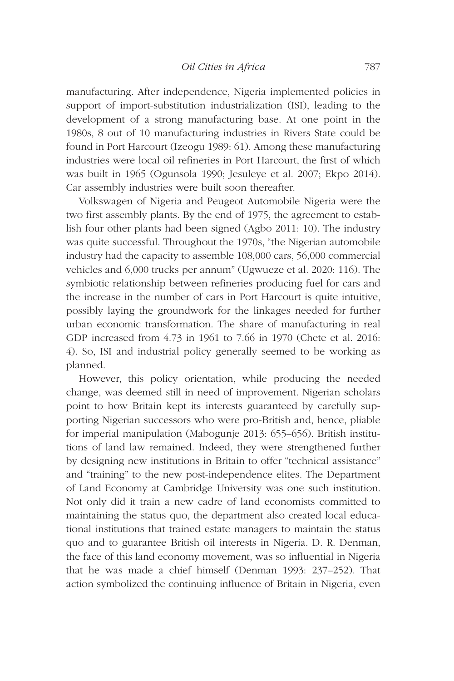manufacturing. After independence, Nigeria implemented policies in support of import-substitution industrialization (ISI), leading to the development of a strong manufacturing base. At one point in the 1980s, 8 out of 10 manufacturing industries in Rivers State could be found in Port Harcourt (Izeogu 1989: 61). Among these manufacturing industries were local oil refineries in Port Harcourt, the first of which was built in 1965 (Ogunsola 1990; Jesuleye et al. 2007; Ekpo 2014). Car assembly industries were built soon thereafter.

Volkswagen of Nigeria and Peugeot Automobile Nigeria were the two first assembly plants. By the end of 1975, the agreement to establish four other plants had been signed (Agbo 2011: 10). The industry was quite successful. Throughout the 1970s, "the Nigerian automobile industry had the capacity to assemble 108,000 cars, 56,000 commercial vehicles and 6,000 trucks per annum" (Ugwueze et al. 2020: 116). The symbiotic relationship between refineries producing fuel for cars and the increase in the number of cars in Port Harcourt is quite intuitive, possibly laying the groundwork for the linkages needed for further urban economic transformation. The share of manufacturing in real GDP increased from 4.73 in 1961 to 7.66 in 1970 (Chete et al. 2016: 4). So, ISI and industrial policy generally seemed to be working as planned.

However, this policy orientation, while producing the needed change, was deemed still in need of improvement. Nigerian scholars point to how Britain kept its interests guaranteed by carefully supporting Nigerian successors who were pro-British and, hence, pliable for imperial manipulation (Mabogunje 2013: 655–656). British institutions of land law remained. Indeed, they were strengthened further by designing new institutions in Britain to offer "technical assistance" and "training" to the new post-independence elites. The Department of Land Economy at Cambridge University was one such institution. Not only did it train a new cadre of land economists committed to maintaining the status quo, the department also created local educational institutions that trained estate managers to maintain the status quo and to guarantee British oil interests in Nigeria. D. R. Denman, the face of this land economy movement, was so influential in Nigeria that he was made a chief himself (Denman 1993: 237–252). That action symbolized the continuing influence of Britain in Nigeria, even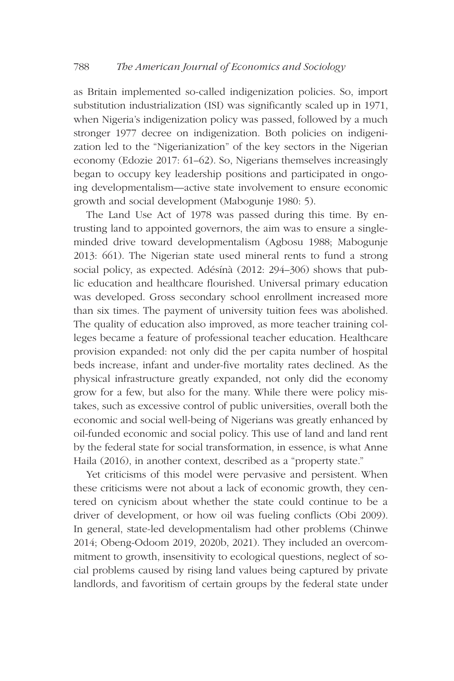as Britain implemented so-called indigenization policies. So, import substitution industrialization (ISI) was significantly scaled up in 1971, when Nigeria's indigenization policy was passed, followed by a much stronger 1977 decree on indigenization. Both policies on indigenization led to the "Nigerianization" of the key sectors in the Nigerian economy (Edozie 2017: 61–62). So, Nigerians themselves increasingly began to occupy key leadership positions and participated in ongoing developmentalism—active state involvement to ensure economic growth and social development (Mabogunje 1980: 5).

The Land Use Act of 1978 was passed during this time. By entrusting land to appointed governors, the aim was to ensure a singleminded drive toward developmentalism (Agbosu 1988; Mabogunje 2013: 661). The Nigerian state used mineral rents to fund a strong social policy, as expected. Adésínà (2012: 294–306) shows that public education and healthcare flourished. Universal primary education was developed. Gross secondary school enrollment increased more than six times. The payment of university tuition fees was abolished. The quality of education also improved, as more teacher training colleges became a feature of professional teacher education. Healthcare provision expanded: not only did the per capita number of hospital beds increase, infant and under-five mortality rates declined. As the physical infrastructure greatly expanded, not only did the economy grow for a few, but also for the many. While there were policy mistakes, such as excessive control of public universities, overall both the economic and social well-being of Nigerians was greatly enhanced by oil-funded economic and social policy. This use of land and land rent by the federal state for social transformation, in essence, is what Anne Haila (2016), in another context, described as a "property state."

Yet criticisms of this model were pervasive and persistent. When these criticisms were not about a lack of economic growth, they centered on cynicism about whether the state could continue to be a driver of development, or how oil was fueling conflicts (Obi 2009). In general, state-led developmentalism had other problems (Chinwe 2014; Obeng-Odoom 2019, 2020b, 2021). They included an overcommitment to growth, insensitivity to ecological questions, neglect of social problems caused by rising land values being captured by private landlords, and favoritism of certain groups by the federal state under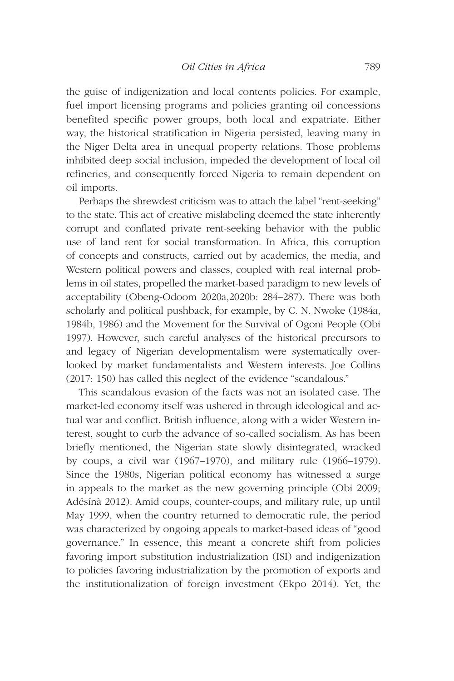the guise of indigenization and local contents policies. For example, fuel import licensing programs and policies granting oil concessions benefited specific power groups, both local and expatriate. Either way, the historical stratification in Nigeria persisted, leaving many in the Niger Delta area in unequal property relations. Those problems inhibited deep social inclusion, impeded the development of local oil refineries, and consequently forced Nigeria to remain dependent on oil imports.

Perhaps the shrewdest criticism was to attach the label "rent-seeking" to the state. This act of creative mislabeling deemed the state inherently corrupt and conflated private rent-seeking behavior with the public use of land rent for social transformation. In Africa, this corruption of concepts and constructs, carried out by academics, the media, and Western political powers and classes, coupled with real internal problems in oil states, propelled the market-based paradigm to new levels of acceptability (Obeng-Odoom 2020a,2020b: 284–287). There was both scholarly and political pushback, for example, by C. N. Nwoke (1984a, 1984b, 1986) and the Movement for the Survival of Ogoni People (Obi 1997). However, such careful analyses of the historical precursors to and legacy of Nigerian developmentalism were systematically overlooked by market fundamentalists and Western interests. Joe Collins (2017: 150) has called this neglect of the evidence "scandalous."

This scandalous evasion of the facts was not an isolated case. The market-led economy itself was ushered in through ideological and actual war and conflict. British influence, along with a wider Western interest, sought to curb the advance of so-called socialism. As has been briefly mentioned, the Nigerian state slowly disintegrated, wracked by coups, a civil war (1967–1970), and military rule (1966–1979). Since the 1980s, Nigerian political economy has witnessed a surge in appeals to the market as the new governing principle (Obi 2009; Adésínà 2012). Amid coups, counter-coups, and military rule, up until May 1999, when the country returned to democratic rule, the period was characterized by ongoing appeals to market-based ideas of "good governance." In essence, this meant a concrete shift from policies favoring import substitution industrialization (ISI) and indigenization to policies favoring industrialization by the promotion of exports and the institutionalization of foreign investment (Ekpo 2014). Yet, the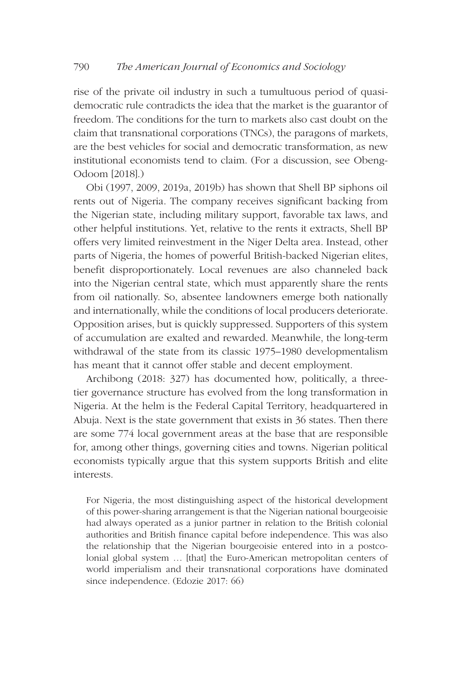rise of the private oil industry in such a tumultuous period of quasidemocratic rule contradicts the idea that the market is the guarantor of freedom. The conditions for the turn to markets also cast doubt on the claim that transnational corporations (TNCs), the paragons of markets, are the best vehicles for social and democratic transformation, as new institutional economists tend to claim. (For a discussion, see Obeng-Odoom [2018].)

Obi (1997, 2009, 2019a, 2019b) has shown that Shell BP siphons oil rents out of Nigeria. The company receives significant backing from the Nigerian state, including military support, favorable tax laws, and other helpful institutions. Yet, relative to the rents it extracts, Shell BP offers very limited reinvestment in the Niger Delta area. Instead, other parts of Nigeria, the homes of powerful British-backed Nigerian elites, benefit disproportionately. Local revenues are also channeled back into the Nigerian central state, which must apparently share the rents from oil nationally. So, absentee landowners emerge both nationally and internationally, while the conditions of local producers deteriorate. Opposition arises, but is quickly suppressed. Supporters of this system of accumulation are exalted and rewarded. Meanwhile, the long-term withdrawal of the state from its classic 1975–1980 developmentalism has meant that it cannot offer stable and decent employment.

Archibong (2018: 327) has documented how, politically, a threetier governance structure has evolved from the long transformation in Nigeria. At the helm is the Federal Capital Territory, headquartered in Abuja. Next is the state government that exists in 36 states. Then there are some 774 local government areas at the base that are responsible for, among other things, governing cities and towns. Nigerian political economists typically argue that this system supports British and elite interests.

For Nigeria, the most distinguishing aspect of the historical development of this power-sharing arrangement is that the Nigerian national bourgeoisie had always operated as a junior partner in relation to the British colonial authorities and British finance capital before independence. This was also the relationship that the Nigerian bourgeoisie entered into in a postcolonial global system … [that] the Euro-American metropolitan centers of world imperialism and their transnational corporations have dominated since independence. (Edozie 2017: 66)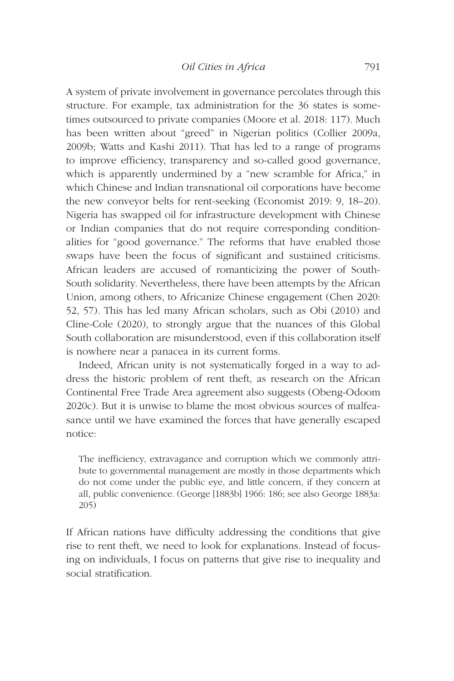A system of private involvement in governance percolates through this structure. For example, tax administration for the 36 states is sometimes outsourced to private companies (Moore et al. 2018: 117). Much has been written about "greed" in Nigerian politics (Collier 2009a, 2009b; Watts and Kashi 2011). That has led to a range of programs to improve efficiency, transparency and so-called good governance, which is apparently undermined by a "new scramble for Africa," in which Chinese and Indian transnational oil corporations have become the new conveyor belts for rent-seeking (Economist 2019: 9, 18–20). Nigeria has swapped oil for infrastructure development with Chinese or Indian companies that do not require corresponding conditionalities for "good governance." The reforms that have enabled those swaps have been the focus of significant and sustained criticisms. African leaders are accused of romanticizing the power of South-South solidarity. Nevertheless, there have been attempts by the African Union, among others, to Africanize Chinese engagement (Chen 2020: 52, 57). This has led many African scholars, such as Obi (2010) and Cline-Cole (2020), to strongly argue that the nuances of this Global South collaboration are misunderstood, even if this collaboration itself is nowhere near a panacea in its current forms.

Indeed, African unity is not systematically forged in a way to address the historic problem of rent theft, as research on the African Continental Free Trade Area agreement also suggests (Obeng-Odoom 2020c). But it is unwise to blame the most obvious sources of malfeasance until we have examined the forces that have generally escaped notice:

The inefficiency, extravagance and corruption which we commonly attribute to governmental management are mostly in those departments which do not come under the public eye, and little concern, if they concern at all, public convenience. (George [1883b] 1966: 186; see also George 1883a: 205)

If African nations have difficulty addressing the conditions that give rise to rent theft, we need to look for explanations. Instead of focusing on individuals, I focus on patterns that give rise to inequality and social stratification.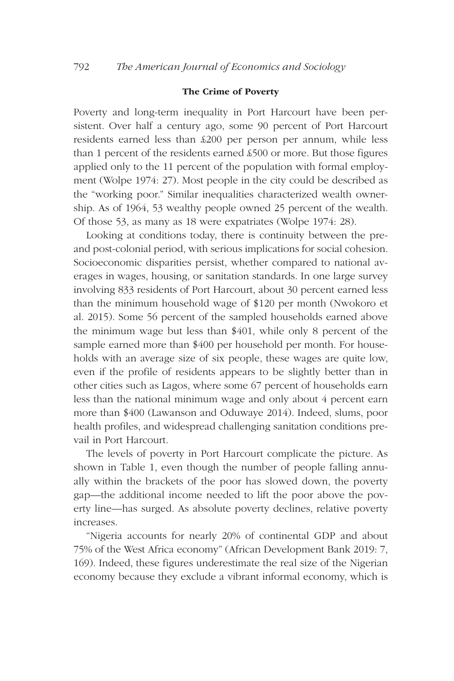# The Crime of Poverty

Poverty and long-term inequality in Port Harcourt have been persistent. Over half a century ago, some 90 percent of Port Harcourt residents earned less than £200 per person per annum, while less than 1 percent of the residents earned £500 or more. But those figures applied only to the 11 percent of the population with formal employment (Wolpe 1974: 27). Most people in the city could be described as the "working poor." Similar inequalities characterized wealth ownership. As of 1964, 53 wealthy people owned 25 percent of the wealth. Of those 53, as many as 18 were expatriates (Wolpe 1974: 28).

Looking at conditions today, there is continuity between the preand post-colonial period, with serious implications for social cohesion. Socioeconomic disparities persist, whether compared to national averages in wages, housing, or sanitation standards. In one large survey involving 833 residents of Port Harcourt, about 30 percent earned less than the minimum household wage of \$120 per month (Nwokoro et al. 2015). Some 56 percent of the sampled households earned above the minimum wage but less than \$401, while only 8 percent of the sample earned more than \$400 per household per month. For households with an average size of six people, these wages are quite low, even if the profile of residents appears to be slightly better than in other cities such as Lagos, where some 67 percent of households earn less than the national minimum wage and only about 4 percent earn more than \$400 (Lawanson and Oduwaye 2014). Indeed, slums, poor health profiles, and widespread challenging sanitation conditions prevail in Port Harcourt.

The levels of poverty in Port Harcourt complicate the picture. As shown in Table 1, even though the number of people falling annually within the brackets of the poor has slowed down, the poverty gap—the additional income needed to lift the poor above the poverty line—has surged. As absolute poverty declines, relative poverty increases.

"Nigeria accounts for nearly 20% of continental GDP and about 75% of the West Africa economy" (African Development Bank 2019: 7, 169). Indeed, these figures underestimate the real size of the Nigerian economy because they exclude a vibrant informal economy, which is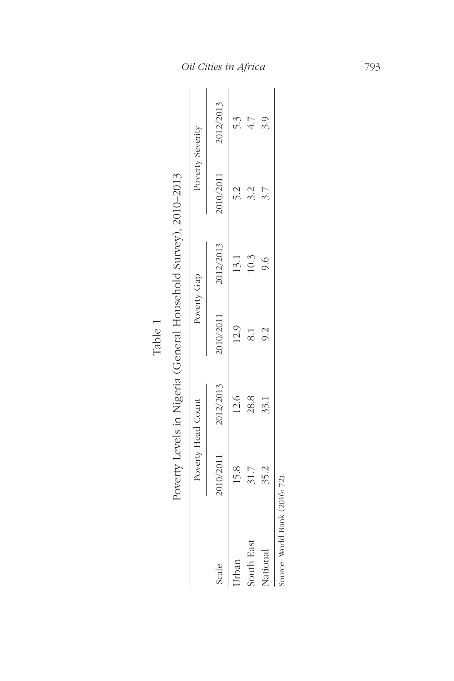| ต ) |  |
|-----|--|
| . . |  |
|     |  |
|     |  |

| ١                   |
|---------------------|
| )<br>İ              |
| I                   |
|                     |
| ١                   |
|                     |
|                     |
| Ï                   |
| Ì<br>l<br>i         |
| j                   |
| ֚֓                  |
| I<br>֕              |
|                     |
| l                   |
| j                   |
| ׇ֚֘֝֬<br>í          |
|                     |
| ׇ֘֝֕                |
| j<br>l<br>ׇ֚֘֡֡     |
| $\frac{1}{1}$<br>l  |
| l                   |
| l                   |
| l                   |
| $\overline{1}$<br>١ |
| i                   |
| l                   |
| ţ<br>١              |
|                     |
| l                   |
| l<br>l              |
|                     |
| l<br>ī              |
| Ï<br>l              |
| l                   |
| į                   |
| i                   |
| l<br>١              |
| $\frac{1}{1}$<br>;  |
| l                   |
| I                   |
|                     |
| Ï                   |
| l                   |
| j                   |
|                     |
| l<br>l              |

|                                |                    |           |             | A SALA A SALA A SALA A SALA A SALA A SALA A SALA A SALA A SALA A SALA A SALA A SALA A SALA A SALA A SALA A SALA |                  |           |
|--------------------------------|--------------------|-----------|-------------|-----------------------------------------------------------------------------------------------------------------|------------------|-----------|
|                                | Poverty Head Count |           | Poverty Gap |                                                                                                                 | Poverty Severity |           |
| Scale                          | 2010/2011          | 2012/2013 | 2010/2011   | 2012/2013                                                                                                       | 2010/2011        | 2012/2013 |
| Urban                          | 15.8               | 12.6      | 12.9        | 13.1                                                                                                            | 2.5              | 53        |
| South East                     | 31.7               | 28.8      |             | 10.3                                                                                                            |                  | 4.7       |
| National                       | 35.2               | 33.1      | 9.2         | 9.6                                                                                                             |                  | 3.9       |
| Source: World Bank (2016: 72). |                    |           |             |                                                                                                                 |                  |           |

*Oil Cities in Africa* 793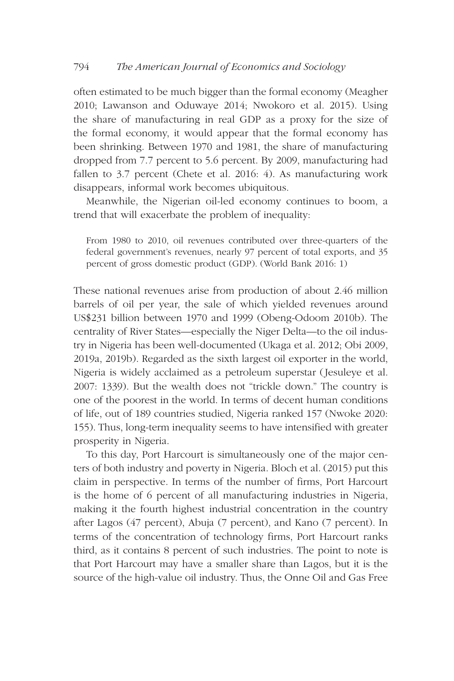often estimated to be much bigger than the formal economy (Meagher 2010; Lawanson and Oduwaye 2014; Nwokoro et al. 2015). Using the share of manufacturing in real GDP as a proxy for the size of the formal economy, it would appear that the formal economy has been shrinking. Between 1970 and 1981, the share of manufacturing dropped from 7.7 percent to 5.6 percent. By 2009, manufacturing had fallen to 3.7 percent (Chete et al. 2016: 4). As manufacturing work disappears, informal work becomes ubiquitous.

Meanwhile, the Nigerian oil-led economy continues to boom, a trend that will exacerbate the problem of inequality:

From 1980 to 2010, oil revenues contributed over three-quarters of the federal government's revenues, nearly 97 percent of total exports, and 35 percent of gross domestic product (GDP). (World Bank 2016: 1)

These national revenues arise from production of about 2.46 million barrels of oil per year, the sale of which yielded revenues around US\$231 billion between 1970 and 1999 (Obeng-Odoom 2010b). The centrality of River States—especially the Niger Delta—to the oil industry in Nigeria has been well-documented (Ukaga et al. 2012; Obi 2009, 2019a, 2019b). Regarded as the sixth largest oil exporter in the world, Nigeria is widely acclaimed as a petroleum superstar (Jesuleye et al. 2007: 1339). But the wealth does not "trickle down." The country is one of the poorest in the world. In terms of decent human conditions of life, out of 189 countries studied, Nigeria ranked 157 (Nwoke 2020: 155). Thus, long-term inequality seems to have intensified with greater prosperity in Nigeria.

To this day, Port Harcourt is simultaneously one of the major centers of both industry and poverty in Nigeria. Bloch et al. (2015) put this claim in perspective. In terms of the number of firms, Port Harcourt is the home of 6 percent of all manufacturing industries in Nigeria, making it the fourth highest industrial concentration in the country after Lagos (47 percent), Abuja (7 percent), and Kano (7 percent). In terms of the concentration of technology firms, Port Harcourt ranks third, as it contains 8 percent of such industries. The point to note is that Port Harcourt may have a smaller share than Lagos, but it is the source of the high-value oil industry. Thus, the Onne Oil and Gas Free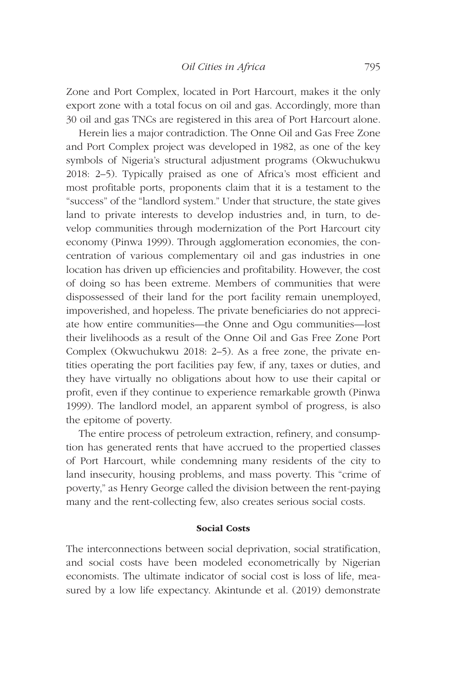Zone and Port Complex, located in Port Harcourt, makes it the only export zone with a total focus on oil and gas. Accordingly, more than 30 oil and gas TNCs are registered in this area of Port Harcourt alone.

Herein lies a major contradiction. The Onne Oil and Gas Free Zone and Port Complex project was developed in 1982, as one of the key symbols of Nigeria's structural adjustment programs (Okwuchukwu 2018: 2–5). Typically praised as one of Africa's most efficient and most profitable ports, proponents claim that it is a testament to the "success" of the "landlord system." Under that structure, the state gives land to private interests to develop industries and, in turn, to develop communities through modernization of the Port Harcourt city economy (Pinwa 1999). Through agglomeration economies, the concentration of various complementary oil and gas industries in one location has driven up efficiencies and profitability. However, the cost of doing so has been extreme. Members of communities that were dispossessed of their land for the port facility remain unemployed, impoverished, and hopeless. The private beneficiaries do not appreciate how entire communities—the Onne and Ogu communities—lost their livelihoods as a result of the Onne Oil and Gas Free Zone Port Complex (Okwuchukwu 2018: 2–5). As a free zone, the private entities operating the port facilities pay few, if any, taxes or duties, and they have virtually no obligations about how to use their capital or profit, even if they continue to experience remarkable growth (Pinwa 1999). The landlord model, an apparent symbol of progress, is also the epitome of poverty.

The entire process of petroleum extraction, refinery, and consumption has generated rents that have accrued to the propertied classes of Port Harcourt, while condemning many residents of the city to land insecurity, housing problems, and mass poverty. This "crime of poverty," as Henry George called the division between the rent-paying many and the rent-collecting few, also creates serious social costs.

### Social Costs

The interconnections between social deprivation, social stratification, and social costs have been modeled econometrically by Nigerian economists. The ultimate indicator of social cost is loss of life, measured by a low life expectancy. Akintunde et al. (2019) demonstrate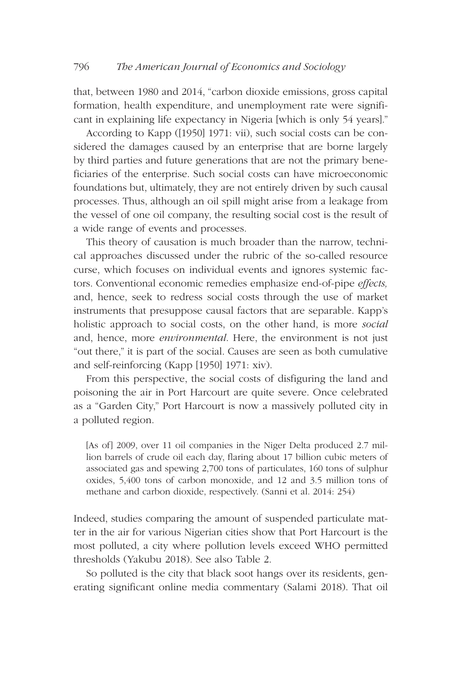that, between 1980 and 2014, "carbon dioxide emissions, gross capital formation, health expenditure, and unemployment rate were significant in explaining life expectancy in Nigeria [which is only 54 years]."

According to Kapp ([1950] 1971: vii), such social costs can be considered the damages caused by an enterprise that are borne largely by third parties and future generations that are not the primary beneficiaries of the enterprise. Such social costs can have microeconomic foundations but, ultimately, they are not entirely driven by such causal processes. Thus, although an oil spill might arise from a leakage from the vessel of one oil company, the resulting social cost is the result of a wide range of events and processes.

This theory of causation is much broader than the narrow, technical approaches discussed under the rubric of the so-called resource curse, which focuses on individual events and ignores systemic factors. Conventional economic remedies emphasize end-of-pipe *effects,* and, hence, seek to redress social costs through the use of market instruments that presuppose causal factors that are separable. Kapp's holistic approach to social costs, on the other hand, is more *social* and, hence, more *environmental*. Here, the environment is not just "out there," it is part of the social. Causes are seen as both cumulative and self-reinforcing (Kapp [1950] 1971: xiv).

From this perspective, the social costs of disfiguring the land and poisoning the air in Port Harcourt are quite severe. Once celebrated as a "Garden City," Port Harcourt is now a massively polluted city in a polluted region.

[As of] 2009, over 11 oil companies in the Niger Delta produced 2.7 million barrels of crude oil each day, flaring about 17 billion cubic meters of associated gas and spewing 2,700 tons of particulates, 160 tons of sulphur oxides, 5,400 tons of carbon monoxide, and 12 and 3.5 million tons of methane and carbon dioxide, respectively. (Sanni et al. 2014: 254)

Indeed, studies comparing the amount of suspended particulate matter in the air for various Nigerian cities show that Port Harcourt is the most polluted, a city where pollution levels exceed WHO permitted thresholds (Yakubu 2018). See also Table 2.

So polluted is the city that black soot hangs over its residents, generating significant online media commentary (Salami 2018). That oil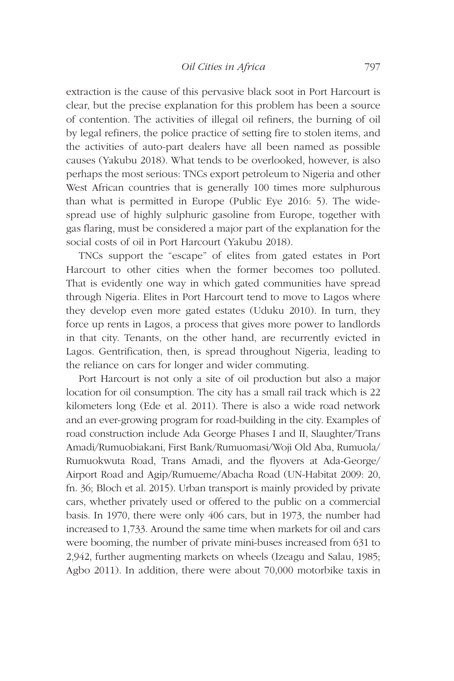extraction is the cause of this pervasive black soot in Port Harcourt is clear, but the precise explanation for this problem has been a source of contention. The activities of illegal oil refiners, the burning of oil by legal refiners, the police practice of setting fire to stolen items, and the activities of auto-part dealers have all been named as possible causes (Yakubu 2018). What tends to be overlooked, however, is also perhaps the most serious: TNCs export petroleum to Nigeria and other West African countries that is generally 100 times more sulphurous than what is permitted in Europe (Public Eye 2016: 5). The widespread use of highly sulphuric gasoline from Europe, together with gas flaring, must be considered a major part of the explanation for the social costs of oil in Port Harcourt (Yakubu 2018).

TNCs support the "escape" of elites from gated estates in Port Harcourt to other cities when the former becomes too polluted. That is evidently one way in which gated communities have spread through Nigeria. Elites in Port Harcourt tend to move to Lagos where they develop even more gated estates (Uduku 2010). In turn, they force up rents in Lagos, a process that gives more power to landlords in that city. Tenants, on the other hand, are recurrently evicted in Lagos. Gentrification, then, is spread throughout Nigeria, leading to the reliance on cars for longer and wider commuting.

Port Harcourt is not only a site of oil production but also a major location for oil consumption. The city has a small rail track which is 22 kilometers long (Ede et al. 2011). There is also a wide road network and an ever-growing program for road-building in the city. Examples of road construction include Ada George Phases I and II, Slaughter/Trans Amadi/Rumuobiakani, First Bank/Rumuomasi/Woji Old Aba, Rumuola/ Rumuokwuta Road, Trans Amadi, and the flyovers at Ada-George/ Airport Road and Agip/Rumueme/Abacha Road (UN-Habitat 2009: 20, fn. 36; Bloch et al. 2015). Urban transport is mainly provided by private cars, whether privately used or offered to the public on a commercial basis. In 1970, there were only 406 cars, but in 1973, the number had increased to 1,733. Around the same time when markets for oil and cars were booming, the number of private mini-buses increased from 631 to 2,942, further augmenting markets on wheels (Izeagu and Salau, 1985; Agbo 2011). In addition, there were about 70,000 motorbike taxis in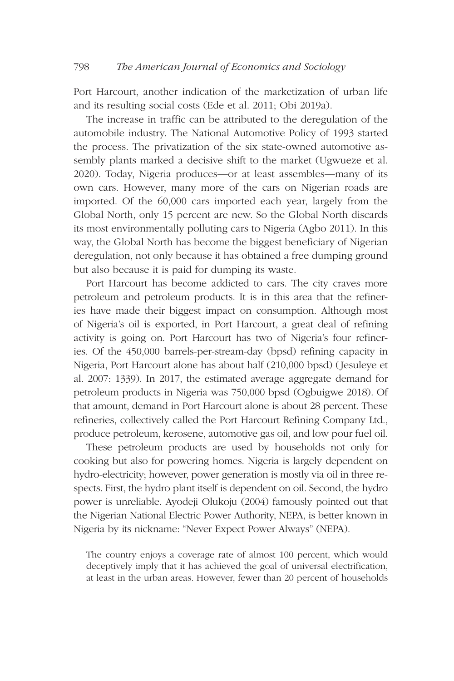Port Harcourt, another indication of the marketization of urban life and its resulting social costs (Ede et al. 2011; Obi 2019a).

The increase in traffic can be attributed to the deregulation of the automobile industry. The National Automotive Policy of 1993 started the process. The privatization of the six state-owned automotive assembly plants marked a decisive shift to the market (Ugwueze et al. 2020). Today, Nigeria produces—or at least assembles—many of its own cars. However, many more of the cars on Nigerian roads are imported. Of the 60,000 cars imported each year, largely from the Global North, only 15 percent are new. So the Global North discards its most environmentally polluting cars to Nigeria (Agbo 2011). In this way, the Global North has become the biggest beneficiary of Nigerian deregulation, not only because it has obtained a free dumping ground but also because it is paid for dumping its waste.

Port Harcourt has become addicted to cars. The city craves more petroleum and petroleum products. It is in this area that the refineries have made their biggest impact on consumption. Although most of Nigeria's oil is exported, in Port Harcourt, a great deal of refining activity is going on. Port Harcourt has two of Nigeria's four refineries. Of the 450,000 barrels-per-stream-day (bpsd) refining capacity in Nigeria, Port Harcourt alone has about half (210,000 bpsd) (Jesuleye et al. 2007: 1339). In 2017, the estimated average aggregate demand for petroleum products in Nigeria was 750,000 bpsd (Ogbuigwe 2018). Of that amount, demand in Port Harcourt alone is about 28 percent. These refineries, collectively called the Port Harcourt Refining Company Ltd., produce petroleum, kerosene, automotive gas oil, and low pour fuel oil.

These petroleum products are used by households not only for cooking but also for powering homes. Nigeria is largely dependent on hydro-electricity; however, power generation is mostly via oil in three respects. First, the hydro plant itself is dependent on oil. Second, the hydro power is unreliable. Ayodeji Olukoju (2004) famously pointed out that the Nigerian National Electric Power Authority, NEPA, is better known in Nigeria by its nickname: "Never Expect Power Always" (NEPA).

The country enjoys a coverage rate of almost 100 percent, which would deceptively imply that it has achieved the goal of universal electrification, at least in the urban areas. However, fewer than 20 percent of households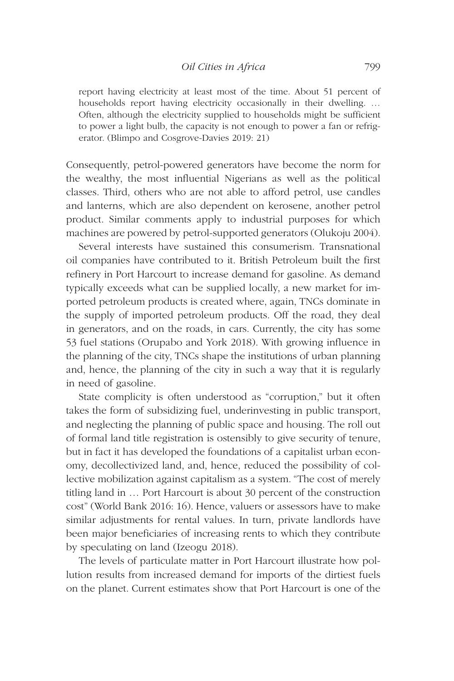report having electricity at least most of the time. About 51 percent of households report having electricity occasionally in their dwelling. … Often, although the electricity supplied to households might be sufficient to power a light bulb, the capacity is not enough to power a fan or refrigerator. (Blimpo and Cosgrove-Davies 2019: 21)

Consequently, petrol-powered generators have become the norm for the wealthy, the most influential Nigerians as well as the political classes. Third, others who are not able to afford petrol, use candles and lanterns, which are also dependent on kerosene, another petrol product. Similar comments apply to industrial purposes for which machines are powered by petrol-supported generators (Olukoju 2004).

Several interests have sustained this consumerism. Transnational oil companies have contributed to it. British Petroleum built the first refinery in Port Harcourt to increase demand for gasoline. As demand typically exceeds what can be supplied locally, a new market for imported petroleum products is created where, again, TNCs dominate in the supply of imported petroleum products. Off the road, they deal in generators, and on the roads, in cars. Currently, the city has some 53 fuel stations (Orupabo and York 2018). With growing influence in the planning of the city, TNCs shape the institutions of urban planning and, hence, the planning of the city in such a way that it is regularly in need of gasoline.

State complicity is often understood as "corruption," but it often takes the form of subsidizing fuel, underinvesting in public transport, and neglecting the planning of public space and housing. The roll out of formal land title registration is ostensibly to give security of tenure, but in fact it has developed the foundations of a capitalist urban economy, decollectivized land, and, hence, reduced the possibility of collective mobilization against capitalism as a system. "The cost of merely titling land in … Port Harcourt is about 30 percent of the construction cost" (World Bank 2016: 16). Hence, valuers or assessors have to make similar adjustments for rental values. In turn, private landlords have been major beneficiaries of increasing rents to which they contribute by speculating on land (Izeogu 2018).

The levels of particulate matter in Port Harcourt illustrate how pollution results from increased demand for imports of the dirtiest fuels on the planet. Current estimates show that Port Harcourt is one of the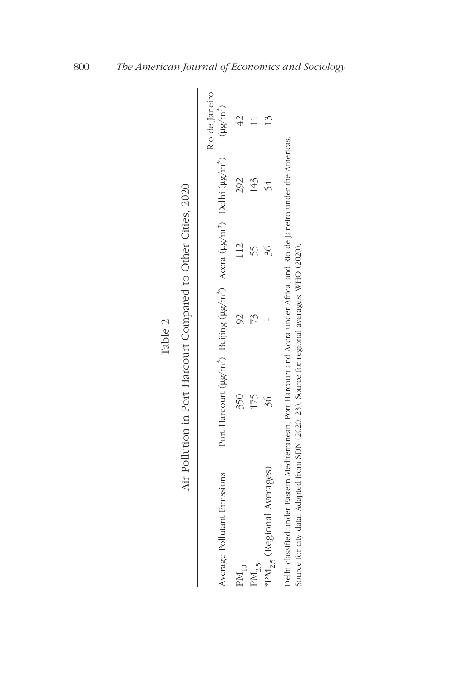|                                                                                                                                                                                                                            |                                                                                                                   | Table 2 |           |     |                |
|----------------------------------------------------------------------------------------------------------------------------------------------------------------------------------------------------------------------------|-------------------------------------------------------------------------------------------------------------------|---------|-----------|-----|----------------|
|                                                                                                                                                                                                                            | Air Pollution in Port Harcourt Compared to Other Cities, 2020                                                     |         |           |     |                |
| Average Pollutant Emissions                                                                                                                                                                                                | Port Harcourt ( $\mu g/m^3$ ) Beijing ( $\mu g/m^3$ ) Accra ( $\mu g/m^3$ ) Delhi ( $\mu g/m^3$ ) ( $\mu g/m^3$ ) |         |           |     | Rio de Janeiro |
| $PM_{10}$                                                                                                                                                                                                                  | 350                                                                                                               |         |           | 292 |                |
| $PM_{2.5}$                                                                                                                                                                                                                 |                                                                                                                   |         |           | 143 |                |
| *PM <sub>25</sub> (Regional Averages)                                                                                                                                                                                      | $\approx$                                                                                                         |         | $\approx$ |     |                |
| Delhi classified under Eastern Mediterranean, Port Harcourt and Accra under Africa, and Rio de Janeiro under the Americas.<br>Source for city data: Adapted from SDN (2020: 23). Source for regional averages: WHO (2020). |                                                                                                                   |         |           |     |                |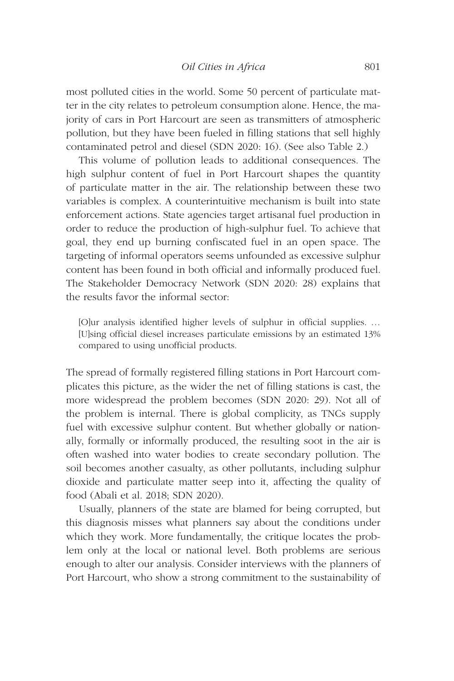most polluted cities in the world. Some 50 percent of particulate matter in the city relates to petroleum consumption alone. Hence, the majority of cars in Port Harcourt are seen as transmitters of atmospheric pollution, but they have been fueled in filling stations that sell highly contaminated petrol and diesel (SDN 2020: 16). (See also Table 2.)

This volume of pollution leads to additional consequences. The high sulphur content of fuel in Port Harcourt shapes the quantity of particulate matter in the air. The relationship between these two variables is complex. A counterintuitive mechanism is built into state enforcement actions. State agencies target artisanal fuel production in order to reduce the production of high-sulphur fuel. To achieve that goal, they end up burning confiscated fuel in an open space. The targeting of informal operators seems unfounded as excessive sulphur content has been found in both official and informally produced fuel. The Stakeholder Democracy Network (SDN 2020: 28) explains that the results favor the informal sector:

[O]ur analysis identified higher levels of sulphur in official supplies. … [U]sing official diesel increases particulate emissions by an estimated 13% compared to using unofficial products.

The spread of formally registered filling stations in Port Harcourt complicates this picture, as the wider the net of filling stations is cast, the more widespread the problem becomes (SDN 2020: 29). Not all of the problem is internal. There is global complicity, as TNCs supply fuel with excessive sulphur content. But whether globally or nationally, formally or informally produced, the resulting soot in the air is often washed into water bodies to create secondary pollution. The soil becomes another casualty, as other pollutants, including sulphur dioxide and particulate matter seep into it, affecting the quality of food (Abali et al. 2018; SDN 2020).

Usually, planners of the state are blamed for being corrupted, but this diagnosis misses what planners say about the conditions under which they work. More fundamentally, the critique locates the problem only at the local or national level. Both problems are serious enough to alter our analysis. Consider interviews with the planners of Port Harcourt, who show a strong commitment to the sustainability of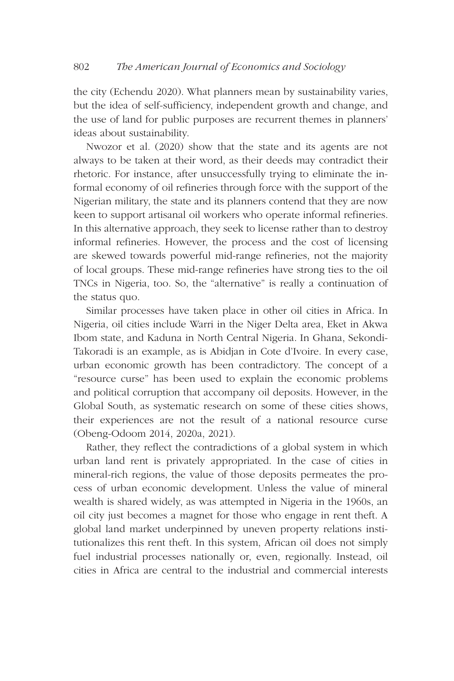the city (Echendu 2020). What planners mean by sustainability varies, but the idea of self-sufficiency, independent growth and change, and the use of land for public purposes are recurrent themes in planners' ideas about sustainability.

Nwozor et al. (2020) show that the state and its agents are not always to be taken at their word, as their deeds may contradict their rhetoric. For instance, after unsuccessfully trying to eliminate the informal economy of oil refineries through force with the support of the Nigerian military, the state and its planners contend that they are now keen to support artisanal oil workers who operate informal refineries. In this alternative approach, they seek to license rather than to destroy informal refineries. However, the process and the cost of licensing are skewed towards powerful mid-range refineries, not the majority of local groups. These mid-range refineries have strong ties to the oil TNCs in Nigeria, too. So, the "alternative" is really a continuation of the status quo.

Similar processes have taken place in other oil cities in Africa. In Nigeria, oil cities include Warri in the Niger Delta area, Eket in Akwa Ibom state, and Kaduna in North Central Nigeria. In Ghana, Sekondi-Takoradi is an example, as is Abidjan in Cote d'Ivoire. In every case, urban economic growth has been contradictory. The concept of a "resource curse" has been used to explain the economic problems and political corruption that accompany oil deposits. However, in the Global South, as systematic research on some of these cities shows, their experiences are not the result of a national resource curse (Obeng-Odoom 2014, 2020a, 2021).

Rather, they reflect the contradictions of a global system in which urban land rent is privately appropriated. In the case of cities in mineral-rich regions, the value of those deposits permeates the process of urban economic development. Unless the value of mineral wealth is shared widely, as was attempted in Nigeria in the 1960s, an oil city just becomes a magnet for those who engage in rent theft. A global land market underpinned by uneven property relations institutionalizes this rent theft. In this system, African oil does not simply fuel industrial processes nationally or, even, regionally. Instead, oil cities in Africa are central to the industrial and commercial interests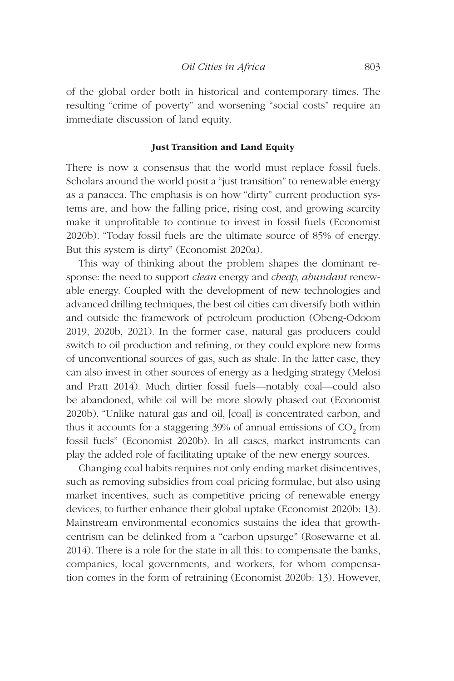of the global order both in historical and contemporary times. The resulting "crime of poverty" and worsening "social costs" require an immediate discussion of land equity.

#### Just Transition and Land Equity

There is now a consensus that the world must replace fossil fuels. Scholars around the world posit a "just transition" to renewable energy as a panacea. The emphasis is on how "dirty" current production systems are, and how the falling price, rising cost, and growing scarcity make it unprofitable to continue to invest in fossil fuels (Economist 2020b). "Today fossil fuels are the ultimate source of 85% of energy. But this system is dirty" (Economist 2020a).

This way of thinking about the problem shapes the dominant response: the need to support *clean* energy and *cheap, abundant* renewable energy. Coupled with the development of new technologies and advanced drilling techniques, the best oil cities can diversify both within and outside the framework of petroleum production (Obeng-Odoom 2019, 2020b, 2021). In the former case, natural gas producers could switch to oil production and refining, or they could explore new forms of unconventional sources of gas, such as shale. In the latter case, they can also invest in other sources of energy as a hedging strategy (Melosi and Pratt 2014). Much dirtier fossil fuels—notably coal—could also be abandoned, while oil will be more slowly phased out (Economist 2020b). "Unlike natural gas and oil, [coal] is concentrated carbon, and thus it accounts for a staggering  $39%$  of annual emissions of  $CO<sub>2</sub>$  from fossil fuels" (Economist 2020b). In all cases, market instruments can play the added role of facilitating uptake of the new energy sources.

Changing coal habits requires not only ending market disincentives, such as removing subsidies from coal pricing formulae, but also using market incentives, such as competitive pricing of renewable energy devices, to further enhance their global uptake (Economist 2020b: 13). Mainstream environmental economics sustains the idea that growthcentrism can be delinked from a "carbon upsurge" (Rosewarne et al. 2014). There is a role for the state in all this: to compensate the banks, companies, local governments, and workers, for whom compensation comes in the form of retraining (Economist 2020b: 13). However,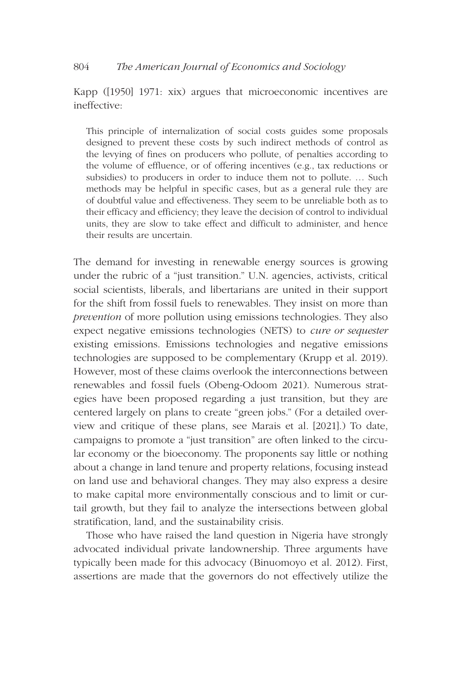## 804 *The American Journal of Economics and Sociology*

Kapp ([1950] 1971: xix) argues that microeconomic incentives are ineffective:

This principle of internalization of social costs guides some proposals designed to prevent these costs by such indirect methods of control as the levying of fines on producers who pollute, of penalties according to the volume of effluence, or of offering incentives (e.g., tax reductions or subsidies) to producers in order to induce them not to pollute. … Such methods may be helpful in specific cases, but as a general rule they are of doubtful value and effectiveness. They seem to be unreliable both as to their efficacy and efficiency; they leave the decision of control to individual units, they are slow to take effect and difficult to administer, and hence their results are uncertain.

The demand for investing in renewable energy sources is growing under the rubric of a "just transition." U.N. agencies, activists, critical social scientists, liberals, and libertarians are united in their support for the shift from fossil fuels to renewables. They insist on more than *prevention* of more pollution using emissions technologies. They also expect negative emissions technologies (NETS) to *cure or sequester* existing emissions. Emissions technologies and negative emissions technologies are supposed to be complementary (Krupp et al. 2019). However, most of these claims overlook the interconnections between renewables and fossil fuels (Obeng-Odoom 2021). Numerous strategies have been proposed regarding a just transition, but they are centered largely on plans to create "green jobs." (For a detailed overview and critique of these plans, see Marais et al. [2021].) To date, campaigns to promote a "just transition" are often linked to the circular economy or the bioeconomy. The proponents say little or nothing about a change in land tenure and property relations, focusing instead on land use and behavioral changes. They may also express a desire to make capital more environmentally conscious and to limit or curtail growth, but they fail to analyze the intersections between global stratification, land, and the sustainability crisis.

Those who have raised the land question in Nigeria have strongly advocated individual private landownership. Three arguments have typically been made for this advocacy (Binuomoyo et al. 2012). First, assertions are made that the governors do not effectively utilize the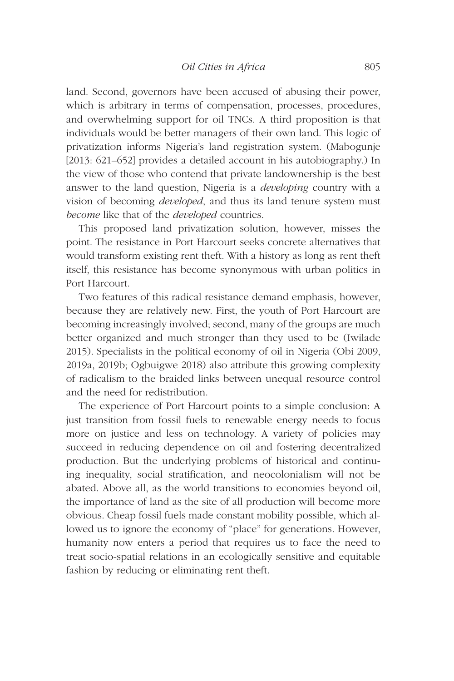land. Second, governors have been accused of abusing their power, which is arbitrary in terms of compensation, processes, procedures, and overwhelming support for oil TNCs. A third proposition is that individuals would be better managers of their own land. This logic of privatization informs Nigeria's land registration system. (Mabogunje [2013: 621–652] provides a detailed account in his autobiography.) In the view of those who contend that private landownership is the best answer to the land question, Nigeria is a *developing* country with a vision of becoming *developed*, and thus its land tenure system must *become* like that of the *developed* countries.

This proposed land privatization solution, however, misses the point. The resistance in Port Harcourt seeks concrete alternatives that would transform existing rent theft. With a history as long as rent theft itself, this resistance has become synonymous with urban politics in Port Harcourt.

Two features of this radical resistance demand emphasis, however, because they are relatively new. First, the youth of Port Harcourt are becoming increasingly involved; second, many of the groups are much better organized and much stronger than they used to be (Iwilade 2015). Specialists in the political economy of oil in Nigeria (Obi 2009, 2019a, 2019b; Ogbuigwe 2018) also attribute this growing complexity of radicalism to the braided links between unequal resource control and the need for redistribution.

The experience of Port Harcourt points to a simple conclusion: A just transition from fossil fuels to renewable energy needs to focus more on justice and less on technology. A variety of policies may succeed in reducing dependence on oil and fostering decentralized production. But the underlying problems of historical and continuing inequality, social stratification, and neocolonialism will not be abated. Above all, as the world transitions to economies beyond oil, the importance of land as the site of all production will become more obvious. Cheap fossil fuels made constant mobility possible, which allowed us to ignore the economy of "place" for generations. However, humanity now enters a period that requires us to face the need to treat socio-spatial relations in an ecologically sensitive and equitable fashion by reducing or eliminating rent theft.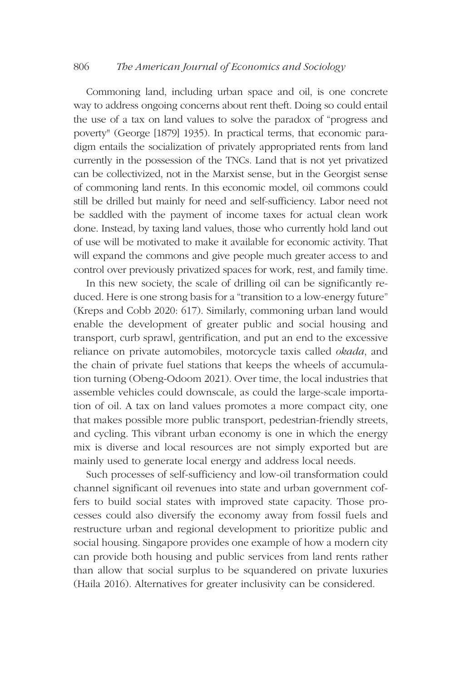## 806 *The American Journal of Economics and Sociology*

Commoning land, including urban space and oil, is one concrete way to address ongoing concerns about rent theft. Doing so could entail the use of a tax on land values to solve the paradox of "progress and poverty" (George [1879] 1935). In practical terms, that economic paradigm entails the socialization of privately appropriated rents from land currently in the possession of the TNCs. Land that is not yet privatized can be collectivized, not in the Marxist sense, but in the Georgist sense of commoning land rents. In this economic model, oil commons could still be drilled but mainly for need and self-sufficiency. Labor need not be saddled with the payment of income taxes for actual clean work done. Instead, by taxing land values, those who currently hold land out of use will be motivated to make it available for economic activity. That will expand the commons and give people much greater access to and control over previously privatized spaces for work, rest, and family time.

In this new society, the scale of drilling oil can be significantly reduced. Here is one strong basis for a "transition to a low-energy future" (Kreps and Cobb 2020: 617). Similarly, commoning urban land would enable the development of greater public and social housing and transport, curb sprawl, gentrification, and put an end to the excessive reliance on private automobiles, motorcycle taxis called *okada*, and the chain of private fuel stations that keeps the wheels of accumulation turning (Obeng-Odoom 2021). Over time, the local industries that assemble vehicles could downscale, as could the large-scale importation of oil. A tax on land values promotes a more compact city, one that makes possible more public transport, pedestrian-friendly streets, and cycling. This vibrant urban economy is one in which the energy mix is diverse and local resources are not simply exported but are mainly used to generate local energy and address local needs.

Such processes of self-sufficiency and low-oil transformation could channel significant oil revenues into state and urban government coffers to build social states with improved state capacity. Those processes could also diversify the economy away from fossil fuels and restructure urban and regional development to prioritize public and social housing. Singapore provides one example of how a modern city can provide both housing and public services from land rents rather than allow that social surplus to be squandered on private luxuries (Haila 2016). Alternatives for greater inclusivity can be considered.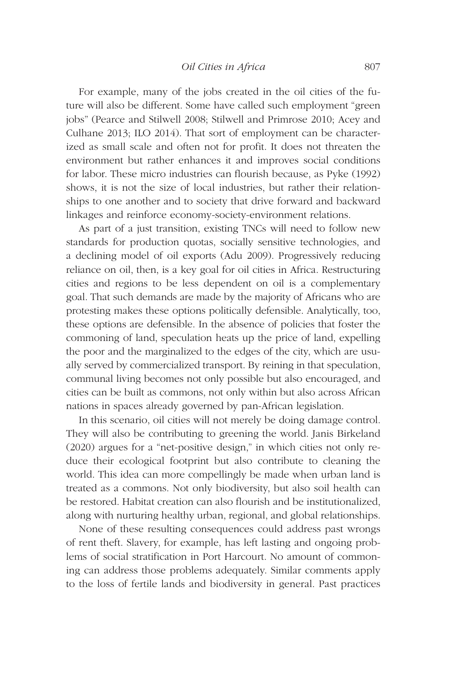For example, many of the jobs created in the oil cities of the future will also be different. Some have called such employment "green jobs" (Pearce and Stilwell 2008; Stilwell and Primrose 2010; Acey and Culhane 2013; ILO 2014). That sort of employment can be characterized as small scale and often not for profit. It does not threaten the environment but rather enhances it and improves social conditions for labor. These micro industries can flourish because, as Pyke (1992) shows, it is not the size of local industries, but rather their relationships to one another and to society that drive forward and backward linkages and reinforce economy-society-environment relations.

As part of a just transition, existing TNCs will need to follow new standards for production quotas, socially sensitive technologies, and a declining model of oil exports (Adu 2009). Progressively reducing reliance on oil, then, is a key goal for oil cities in Africa. Restructuring cities and regions to be less dependent on oil is a complementary goal. That such demands are made by the majority of Africans who are protesting makes these options politically defensible. Analytically, too, these options are defensible. In the absence of policies that foster the commoning of land, speculation heats up the price of land, expelling the poor and the marginalized to the edges of the city, which are usually served by commercialized transport. By reining in that speculation, communal living becomes not only possible but also encouraged, and cities can be built as commons, not only within but also across African nations in spaces already governed by pan-African legislation.

In this scenario, oil cities will not merely be doing damage control. They will also be contributing to greening the world. Janis Birkeland (2020) argues for a "net-positive design," in which cities not only reduce their ecological footprint but also contribute to cleaning the world. This idea can more compellingly be made when urban land is treated as a commons. Not only biodiversity, but also soil health can be restored. Habitat creation can also flourish and be institutionalized, along with nurturing healthy urban, regional, and global relationships.

None of these resulting consequences could address past wrongs of rent theft. Slavery, for example, has left lasting and ongoing problems of social stratification in Port Harcourt. No amount of commoning can address those problems adequately. Similar comments apply to the loss of fertile lands and biodiversity in general. Past practices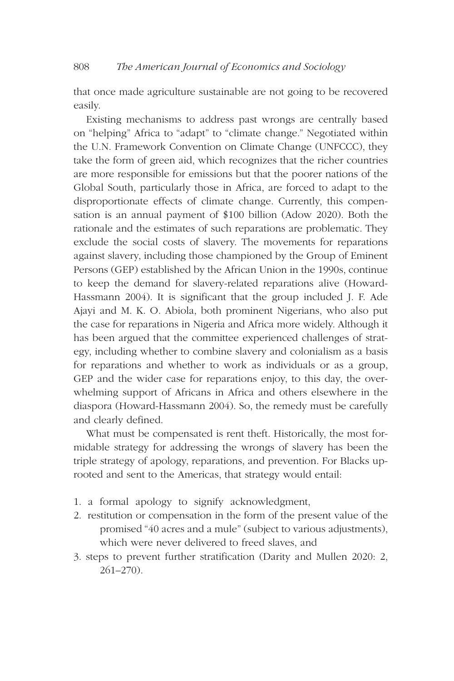that once made agriculture sustainable are not going to be recovered easily.

Existing mechanisms to address past wrongs are centrally based on "helping" Africa to "adapt" to "climate change." Negotiated within the U.N. Framework Convention on Climate Change (UNFCCC), they take the form of green aid, which recognizes that the richer countries are more responsible for emissions but that the poorer nations of the Global South, particularly those in Africa, are forced to adapt to the disproportionate effects of climate change. Currently, this compensation is an annual payment of \$100 billion (Adow 2020). Both the rationale and the estimates of such reparations are problematic. They exclude the social costs of slavery. The movements for reparations against slavery, including those championed by the Group of Eminent Persons (GEP) established by the African Union in the 1990s, continue to keep the demand for slavery-related reparations alive (Howard-Hassmann 2004). It is significant that the group included J. F. Ade Ajayi and M. K. O. Abiola, both prominent Nigerians, who also put the case for reparations in Nigeria and Africa more widely. Although it has been argued that the committee experienced challenges of strategy, including whether to combine slavery and colonialism as a basis for reparations and whether to work as individuals or as a group, GEP and the wider case for reparations enjoy, to this day, the overwhelming support of Africans in Africa and others elsewhere in the diaspora (Howard-Hassmann 2004). So, the remedy must be carefully and clearly defined.

What must be compensated is rent theft. Historically, the most formidable strategy for addressing the wrongs of slavery has been the triple strategy of apology, reparations, and prevention. For Blacks uprooted and sent to the Americas, that strategy would entail:

- 1. a formal apology to signify acknowledgment,
- 2. restitution or compensation in the form of the present value of the promised "40 acres and a mule" (subject to various adjustments), which were never delivered to freed slaves, and
- 3. steps to prevent further stratification (Darity and Mullen 2020: 2, 261–270).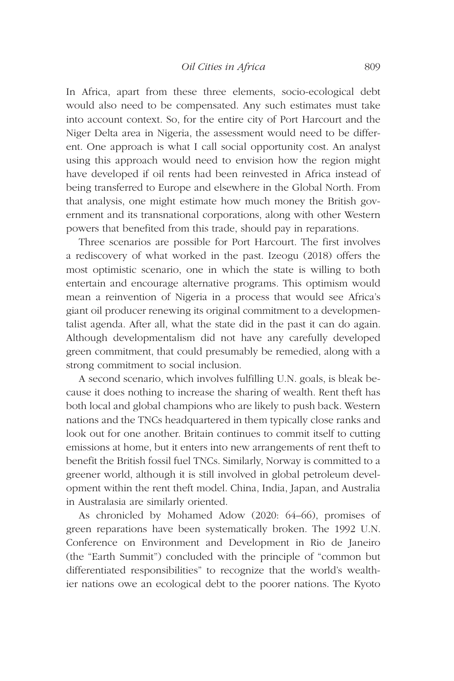In Africa, apart from these three elements, socio-ecological debt would also need to be compensated. Any such estimates must take into account context. So, for the entire city of Port Harcourt and the Niger Delta area in Nigeria, the assessment would need to be different. One approach is what I call social opportunity cost. An analyst using this approach would need to envision how the region might have developed if oil rents had been reinvested in Africa instead of being transferred to Europe and elsewhere in the Global North. From that analysis, one might estimate how much money the British government and its transnational corporations, along with other Western powers that benefited from this trade, should pay in reparations.

Three scenarios are possible for Port Harcourt. The first involves a rediscovery of what worked in the past. Izeogu (2018) offers the most optimistic scenario, one in which the state is willing to both entertain and encourage alternative programs. This optimism would mean a reinvention of Nigeria in a process that would see Africa's giant oil producer renewing its original commitment to a developmentalist agenda. After all, what the state did in the past it can do again. Although developmentalism did not have any carefully developed green commitment, that could presumably be remedied, along with a strong commitment to social inclusion.

A second scenario, which involves fulfilling U.N. goals, is bleak because it does nothing to increase the sharing of wealth. Rent theft has both local and global champions who are likely to push back. Western nations and the TNCs headquartered in them typically close ranks and look out for one another. Britain continues to commit itself to cutting emissions at home, but it enters into new arrangements of rent theft to benefit the British fossil fuel TNCs. Similarly, Norway is committed to a greener world, although it is still involved in global petroleum development within the rent theft model. China, India, Japan, and Australia in Australasia are similarly oriented.

As chronicled by Mohamed Adow (2020: 64–66), promises of green reparations have been systematically broken. The 1992 U.N. Conference on Environment and Development in Rio de Janeiro (the "Earth Summit") concluded with the principle of "common but differentiated responsibilities" to recognize that the world's wealthier nations owe an ecological debt to the poorer nations. The Kyoto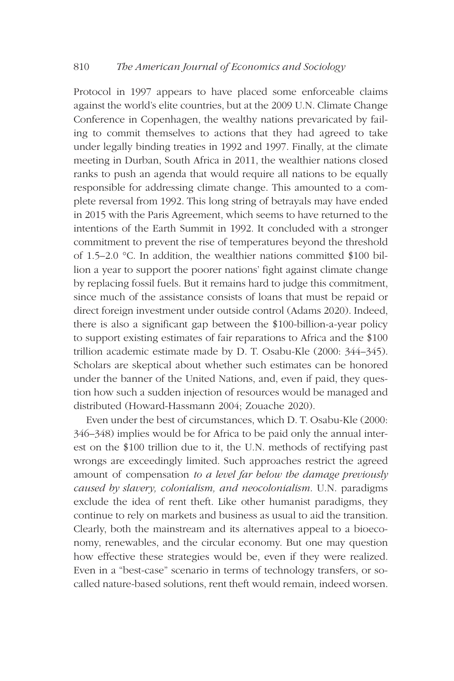Protocol in 1997 appears to have placed some enforceable claims against the world's elite countries, but at the 2009 U.N. Climate Change Conference in Copenhagen, the wealthy nations prevaricated by failing to commit themselves to actions that they had agreed to take under legally binding treaties in 1992 and 1997. Finally, at the climate meeting in Durban, South Africa in 2011, the wealthier nations closed ranks to push an agenda that would require all nations to be equally responsible for addressing climate change. This amounted to a complete reversal from 1992. This long string of betrayals may have ended in 2015 with the Paris Agreement, which seems to have returned to the intentions of the Earth Summit in 1992. It concluded with a stronger commitment to prevent the rise of temperatures beyond the threshold of 1.5–2.0 °C. In addition, the wealthier nations committed \$100 billion a year to support the poorer nations' fight against climate change by replacing fossil fuels. But it remains hard to judge this commitment, since much of the assistance consists of loans that must be repaid or direct foreign investment under outside control (Adams 2020). Indeed, there is also a significant gap between the \$100-billion-a-year policy to support existing estimates of fair reparations to Africa and the \$100 trillion academic estimate made by D. T. Osabu-Kle (2000: 344–345). Scholars are skeptical about whether such estimates can be honored under the banner of the United Nations, and, even if paid, they question how such a sudden injection of resources would be managed and distributed (Howard-Hassmann 2004; Zouache 2020).

Even under the best of circumstances, which D. T. Osabu-Kle (2000: 346–348) implies would be for Africa to be paid only the annual interest on the \$100 trillion due to it, the U.N. methods of rectifying past wrongs are exceedingly limited. Such approaches restrict the agreed amount of compensation *to a level far below the damage previously caused by slavery, colonialism, and neocolonialism*. U.N. paradigms exclude the idea of rent theft. Like other humanist paradigms, they continue to rely on markets and business as usual to aid the transition. Clearly, both the mainstream and its alternatives appeal to a bioeconomy, renewables, and the circular economy. But one may question how effective these strategies would be, even if they were realized. Even in a "best-case" scenario in terms of technology transfers, or socalled nature-based solutions, rent theft would remain, indeed worsen.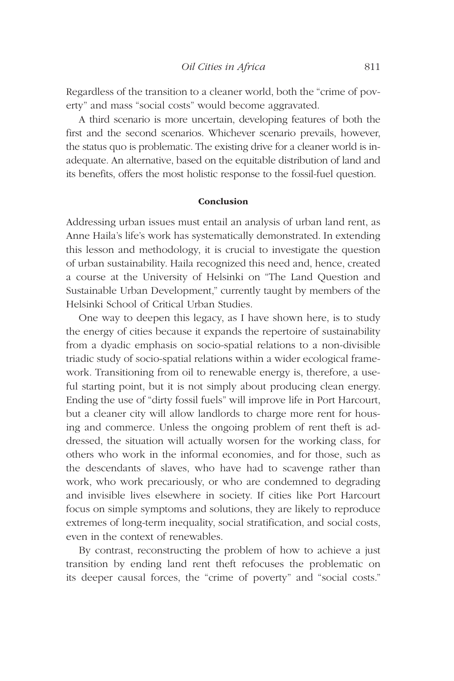Regardless of the transition to a cleaner world, both the "crime of poverty" and mass "social costs" would become aggravated.

A third scenario is more uncertain, developing features of both the first and the second scenarios. Whichever scenario prevails, however, the status quo is problematic. The existing drive for a cleaner world is inadequate. An alternative, based on the equitable distribution of land and its benefits, offers the most holistic response to the fossil-fuel question.

#### Conclusion

Addressing urban issues must entail an analysis of urban land rent, as Anne Haila's life's work has systematically demonstrated. In extending this lesson and methodology, it is crucial to investigate the question of urban sustainability. Haila recognized this need and, hence, created a course at the University of Helsinki on "The Land Question and Sustainable Urban Development," currently taught by members of the Helsinki School of Critical Urban Studies.

One way to deepen this legacy, as I have shown here, is to study the energy of cities because it expands the repertoire of sustainability from a dyadic emphasis on socio-spatial relations to a non-divisible triadic study of socio-spatial relations within a wider ecological framework. Transitioning from oil to renewable energy is, therefore, a useful starting point, but it is not simply about producing clean energy. Ending the use of "dirty fossil fuels" will improve life in Port Harcourt, but a cleaner city will allow landlords to charge more rent for housing and commerce. Unless the ongoing problem of rent theft is addressed, the situation will actually worsen for the working class, for others who work in the informal economies, and for those, such as the descendants of slaves, who have had to scavenge rather than work, who work precariously, or who are condemned to degrading and invisible lives elsewhere in society. If cities like Port Harcourt focus on simple symptoms and solutions, they are likely to reproduce extremes of long-term inequality, social stratification, and social costs, even in the context of renewables.

By contrast, reconstructing the problem of how to achieve a just transition by ending land rent theft refocuses the problematic on its deeper causal forces, the "crime of poverty" and "social costs."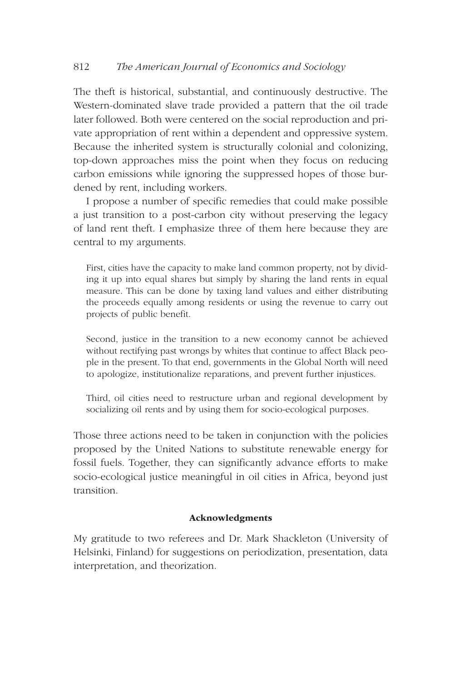The theft is historical, substantial, and continuously destructive. The Western-dominated slave trade provided a pattern that the oil trade later followed. Both were centered on the social reproduction and private appropriation of rent within a dependent and oppressive system. Because the inherited system is structurally colonial and colonizing, top-down approaches miss the point when they focus on reducing carbon emissions while ignoring the suppressed hopes of those burdened by rent, including workers.

I propose a number of specific remedies that could make possible a just transition to a post-carbon city without preserving the legacy of land rent theft. I emphasize three of them here because they are central to my arguments.

First, cities have the capacity to make land common property, not by dividing it up into equal shares but simply by sharing the land rents in equal measure. This can be done by taxing land values and either distributing the proceeds equally among residents or using the revenue to carry out projects of public benefit.

Second, justice in the transition to a new economy cannot be achieved without rectifying past wrongs by whites that continue to affect Black people in the present. To that end, governments in the Global North will need to apologize, institutionalize reparations, and prevent further injustices.

Third, oil cities need to restructure urban and regional development by socializing oil rents and by using them for socio-ecological purposes.

Those three actions need to be taken in conjunction with the policies proposed by the United Nations to substitute renewable energy for fossil fuels. Together, they can significantly advance efforts to make socio-ecological justice meaningful in oil cities in Africa, beyond just transition.

# Acknowledgments

My gratitude to two referees and Dr. Mark Shackleton (University of Helsinki, Finland) for suggestions on periodization, presentation, data interpretation, and theorization.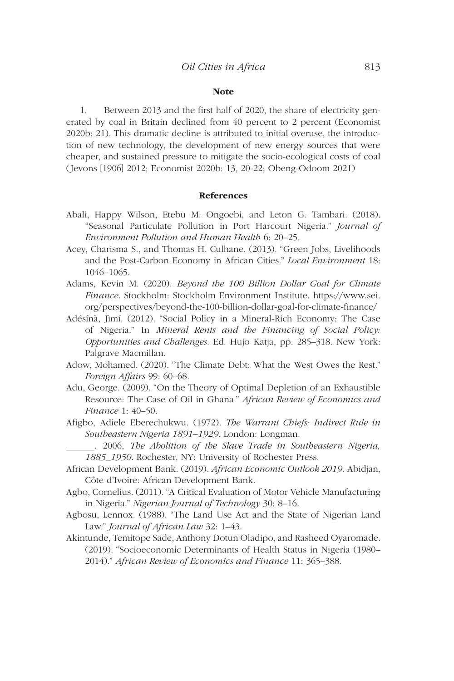#### **Note**

1. Between 2013 and the first half of 2020, the share of electricity generated by coal in Britain declined from 40 percent to 2 percent (Economist 2020b: 21). This dramatic decline is attributed to initial overuse, the introduction of new technology, the development of new energy sources that were cheaper, and sustained pressure to mitigate the socio-ecological costs of coal (Jevons [1906] 2012; Economist 2020b: 13, 20-22; Obeng-Odoom 2021)

#### References

- Abali, Happy Wilson, Etebu M. Ongoebi, and Leton G. Tambari. (2018). "Seasonal Particulate Pollution in Port Harcourt Nigeria." *Journal of Environment Pollution and Human Health* 6: 20–25.
- Acey, Charisma S., and Thomas H. Culhane. (2013). "Green Jobs, Livelihoods and the Post-Carbon Economy in African Cities." *Local Environment* 18: 1046–1065.
- Adams, Kevin M. (2020). *Beyond the 100 Billion Dollar Goal for Climate Finance*. Stockholm: Stockholm Environment Institute. [https://www.sei.](https://www.sei.org/perspectives/beyond-the-100-billion-dollar-goal-for-climate-finance/) [org/perspectives/beyond-the-100-billion-dollar-goal-for-climate-finance/](https://www.sei.org/perspectives/beyond-the-100-billion-dollar-goal-for-climate-finance/)
- Adésínà, Jìmí. (2012). "Social Policy in a Mineral-Rich Economy: The Case of Nigeria." In *Mineral Rents and the Financing of Social Policy: Opportunities and Challenges*. Ed. Hujo Katja, pp. 285–318. New York: Palgrave Macmillan.
- Adow, Mohamed. (2020). "The Climate Debt: What the West Owes the Rest." *Foreign Affairs* 99: 60–68.
- Adu, George. (2009). "On the Theory of Optimal Depletion of an Exhaustible Resource: The Case of Oil in Ghana." *African Review of Economics and Finance* 1: 40–50.
- Afigbo, Adiele Eberechukwu. (1972). *The Warrant Chiefs: Indirect Rule in Southeastern Nigeria 1891–1929*. London: Longman.

 . 2006, *The Abolition of the Slave Trade in Southeastern Nigeria, 1885\_1950*. Rochester, NY: University of Rochester Press.

- African Development Bank. (2019). *African Economic Outlook 2019*. Abidjan, Côte d'Ivoire: African Development Bank.
- Agbo, Cornelius. (2011). "A Critical Evaluation of Motor Vehicle Manufacturing in Nigeria." *Nigerian Journal of Technology* 30: 8–16.
- Agbosu, Lennox. (1988). "The Land Use Act and the State of Nigerian Land Law." *Journal of African Law* 32: 1–43.
- Akintunde, Temitope Sade, Anthony Dotun Oladipo, and Rasheed Oyaromade. (2019). "Socioeconomic Determinants of Health Status in Nigeria (1980– 2014)." *African Review of Economics and Finance* 11: 365–388.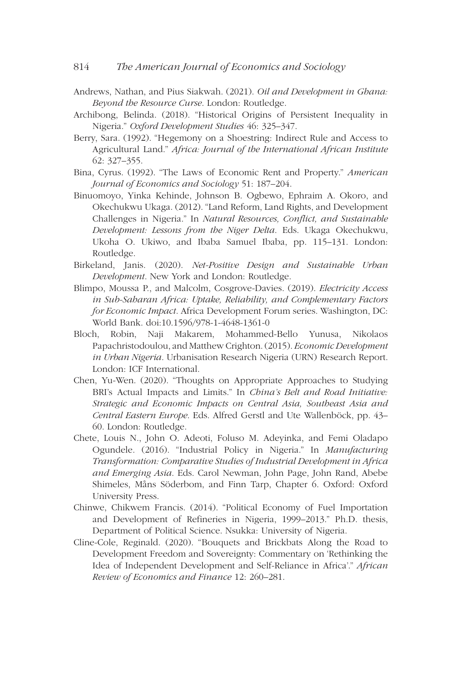- Andrews, Nathan, and Pius Siakwah. (2021). *Oil and Development in Ghana: Beyond the Resource Curse*. London: Routledge.
- Archibong, Belinda. (2018). "Historical Origins of Persistent Inequality in Nigeria." *Oxford Development Studies* 46: 325–347.
- Berry, Sara. (1992). "Hegemony on a Shoestring: Indirect Rule and Access to Agricultural Land." *Africa: Journal of the International African Institute* 62: 327–355.
- Bina, Cyrus. (1992). "The Laws of Economic Rent and Property." *American Journal of Economics and Sociology* 51: 187–204.
- Binuomoyo, Yinka Kehinde, Johnson B. Ogbewo, Ephraim A. Okoro, and Okechukwu Ukaga. (2012). "Land Reform, Land Rights, and Development Challenges in Nigeria." In *Natural Resources, Conflict, and Sustainable Development: Lessons from the Niger Delta*. Eds. Ukaga Okechukwu, Ukoha O. Ukiwo, and Ibaba Samuel Ibaba, pp. 115–131. London: Routledge.
- Birkeland, Janis. (2020). *Net-Positive Design and Sustainable Urban Development*. New York and London: Routledge.
- Blimpo, Moussa P., and Malcolm, Cosgrove-Davies. (2019). *Electricity Access in Sub-Saharan Africa: Uptake, Reliability, and Complementary Factors for Economic Impact*. Africa Development Forum series. Washington, DC: World Bank. [doi:10.1596/978-1-4648-1361-0](https://doi:10.1596/978-1-4648-1361-0)
- Bloch, Robin, Naji Makarem, Mohammed-Bello Yunusa, Nikolaos Papachristodoulou, and Matthew Crighton. (2015). *Economic Development in Urban Nigeria*. Urbanisation Research Nigeria (URN) Research Report. London: ICF International.
- Chen, Yu-Wen. (2020). "Thoughts on Appropriate Approaches to Studying BRI's Actual Impacts and Limits." In *China's Belt and Road Initiative: Strategic and Economic Impacts on Central Asia, Southeast Asia and Central Eastern Europe*. Eds. Alfred Gerstl and Ute Wallenböck, pp. 43– 60. London: Routledge.
- Chete, Louis N., John O. Adeoti, Foluso M. Adeyinka, and Femi Oladapo Ogundele. (2016). "Industrial Policy in Nigeria." In *Manufacturing Transformation: Comparative Studies of Industrial Development in Africa and Emerging Asia*. Eds. Carol Newman, John Page, John Rand, Abebe Shimeles, Måns Söderbom, and Finn Tarp, Chapter 6. Oxford: Oxford University Press.
- Chinwe, Chikwem Francis. (2014). "Political Economy of Fuel Importation and Development of Refineries in Nigeria, 1999–2013." Ph.D. thesis, Department of Political Science. Nsukka: University of Nigeria.
- Cline-Cole, Reginald. (2020). "Bouquets and Brickbats Along the Road to Development Freedom and Sovereignty: Commentary on 'Rethinking the Idea of Independent Development and Self-Reliance in Africa'." *African Review of Economics and Finance* 12: 260–281.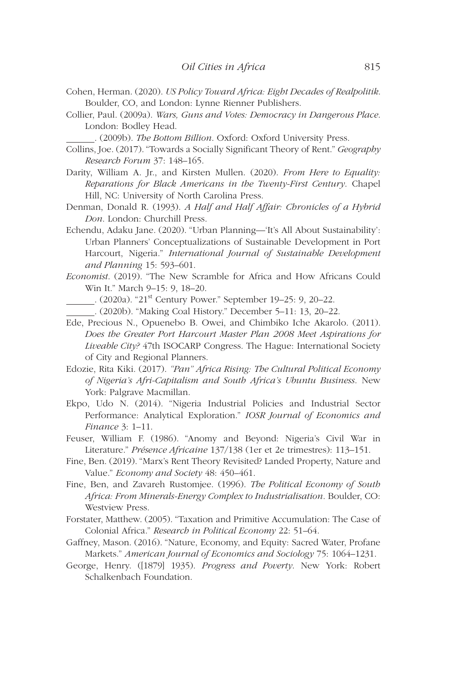- Cohen, Herman. (2020). *US Policy Toward Africa: Eight Decades of Realpolitik*. Boulder, CO, and London: Lynne Rienner Publishers.
- Collier, Paul. (2009a). *Wars, Guns and Votes: Democracy in Dangerous Place*. London: Bodley Head.

. (2009b). *The Bottom Billion*. Oxford: Oxford University Press.

- Collins, Joe. (2017). "Towards a Socially Significant Theory of Rent." *Geography Research Forum* 37: 148–165.
- Darity, William A. Jr., and Kirsten Mullen. (2020). *From Here to Equality: Reparations for Black Americans in the Twenty-First Century*. Chapel Hill, NC: University of North Carolina Press.
- Denman, Donald R. (1993). *A Half and Half Affair: Chronicles of a Hybrid Don*. London: Churchill Press.
- Echendu, Adaku Jane. (2020). "Urban Planning—'It's All About Sustainability': Urban Planners' Conceptualizations of Sustainable Development in Port Harcourt, Nigeria." *International Journal of Sustainable Development and Planning* 15: 593–601.
- *Economist*. (2019). "The New Scramble for Africa and How Africans Could Win It." March 9–15: 9, 18–20.
- . (2020a). "21st Century Power." September 19–25: 9, 20–22.
- . (2020b). "Making Coal History." December 5–11: 13, 20–22.
- Ede, Precious N., Opuenebo B. Owei, and Chimbiko Iche Akarolo. (2011). *Does the Greater Port Harcourt Master Plan 2008 Meet Aspirations for Liveable City?* 47th ISOCARP Congress. The Hague: International Society of City and Regional Planners.
- Edozie, Rita Kiki. (2017). *"Pan" Africa Rising: The Cultural Political Economy of Nigeria's Afri-Capitalism and South Africa's Ubuntu Business*. New York: Palgrave Macmillan.
- Ekpo, Udo N. (2014). "Nigeria Industrial Policies and Industrial Sector Performance: Analytical Exploration." *IOSR Journal of Economics and Finance* 3: 1–11.
- Feuser, William F. (1986). "Anomy and Beyond: Nigeria's Civil War in Literature." *Présence Africaine* 137/138 (1er et 2e trimestres): 113–151.
- Fine, Ben. (2019). "Marx's Rent Theory Revisited? Landed Property, Nature and Value." *Economy and Society* 48: 450–461.
- Fine, Ben, and Zavareh Rustomjee. (1996). *The Political Economy of South Africa: From Minerals-Energy Complex to Industrialisation*. Boulder, CO: Westview Press.
- Forstater, Matthew. (2005). "Taxation and Primitive Accumulation: The Case of Colonial Africa." *Research in Political Economy* 22: 51–64.
- Gaffney, Mason. (2016). "Nature, Economy, and Equity: Sacred Water, Profane Markets." *American Journal of Economics and Sociology* 75: 1064–1231.
- George, Henry. ([1879] 1935). *Progress and Poverty*. New York: Robert Schalkenbach Foundation.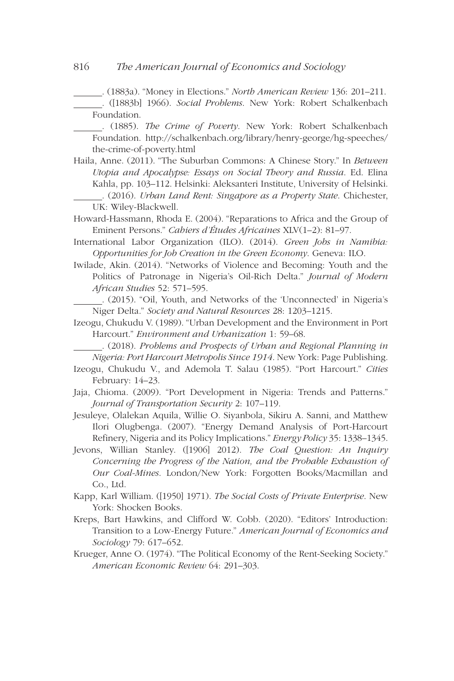. (1883a). "Money in Elections." *North American Review* 136: 201–211.

 . ([1883b] 1966). *Social Problems*. New York: Robert Schalkenbach Foundation.

 . (1885). *The Crime of Poverty*. New York: Robert Schalkenbach Foundation. [http://schalkenbach.org/library/henry-george/hg-speeches/](http://schalkenbach.org/library/henry-george/hg-speeches/the-crime-of-poverty.html) [the-crime-of-poverty.html](http://schalkenbach.org/library/henry-george/hg-speeches/the-crime-of-poverty.html)

- Haila, Anne. (2011). "The Suburban Commons: A Chinese Story." In *Between Utopia and Apocalypse: Essays on Social Theory and Russia*. Ed. Elina Kahla, pp. 103–112. Helsinki: Aleksanteri Institute, University of Helsinki. . (2016). *Urban Land Rent: Singapore as a Property State*. Chichester, UK: Wiley-Blackwell.
- Howard-Hassmann, Rhoda E. (2004). "Reparations to Africa and the Group of Eminent Persons." *Cahiers d'Études Africaines* XLV(1–2): 81–97.

International Labor Organization (ILO). (2014). *Green Jobs in Namibia: Opportunities for Job Creation in the Green Economy*. Geneva: ILO.

Iwilade, Akin. (2014). "Networks of Violence and Becoming: Youth and the Politics of Patronage in Nigeria's Oil-Rich Delta." *Journal of Modern African Studies* 52: 571–595.

 . (2015). "Oil, Youth, and Networks of the 'Unconnected' in Nigeria's Niger Delta." *Society and Natural Resources* 28: 1203–1215.

Izeogu, Chukudu V. (1989). "Urban Development and the Environment in Port Harcourt." *Environment and Urbanization* 1: 59–68.

 . (2018). *Problems and Prospects of Urban and Regional Planning in Nigeria: Port Harcourt Metropolis Since 1914*. New York: Page Publishing.

Izeogu, Chukudu V., and Ademola T. Salau (1985). "Port Harcourt." *Cities* February: 14–23.

Jaja, Chioma. (2009). "Port Development in Nigeria: Trends and Patterns." *Journal of Transportation Security* 2: 107–119.

Jesuleye, Olalekan Aquila, Willie O. Siyanbola, Sikiru A. Sanni, and Matthew Ilori Olugbenga. (2007). "Energy Demand Analysis of Port-Harcourt Refinery, Nigeria and its Policy Implications." *Energy Policy* 35: 1338–1345.

Jevons, Willian Stanley. ([1906] 2012). *The Coal Question: An Inquiry Concerning the Progress of the Nation, and the Probable Exhaustion of Our Coal-Mines*. London/New York: Forgotten Books/Macmillan and Co., Ltd.

- Kapp, Karl William. ([1950] 1971). *The Social Costs of Private Enterprise*. New York: Shocken Books.
- Kreps, Bart Hawkins, and Clifford W. Cobb. (2020). "Editors' Introduction: Transition to a Low-Energy Future." *American Journal of Economics and Sociology* 79: 617–652.
- Krueger, Anne O. (1974). "The Political Economy of the Rent-Seeking Society." *American Economic Review* 64: 291–303.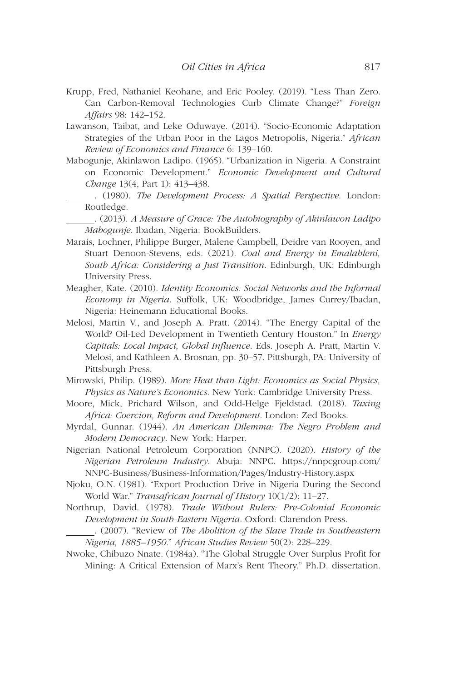- Krupp, Fred, Nathaniel Keohane, and Eric Pooley. (2019). "Less Than Zero. Can Carbon-Removal Technologies Curb Climate Change?" *Foreign Affairs* 98: 142–152.
- Lawanson, Taibat, and Leke Oduwaye. (2014). "Socio-Economic Adaptation Strategies of the Urban Poor in the Lagos Metropolis, Nigeria." *African Review of Economics and Finance* 6: 139–160.
- Mabogunje, Akinlawon Ladipo. (1965). "Urbanization in Nigeria. A Constraint on Economic Development." *Economic Development and Cultural Change* 13(4, Part 1): 413–438.
- . (1980). *The Development Process: A Spatial Perspective*. London: Routledge.

 . (2013). *A Measure of Grace: The Autobiography of Akinlawon Ladipo Mabogunje*. Ibadan, Nigeria: BookBuilders.

- Marais, Lochner, Philippe Burger, Malene Campbell, Deidre van Rooyen, and Stuart Denoon-Stevens, eds. (2021). *Coal and Energy in Emalahleni, South Africa: Considering a Just Transition*. Edinburgh, UK: Edinburgh University Press.
- Meagher, Kate. (2010). *Identity Economics: Social Networks and the Informal Economy in Nigeria*. Suffolk, UK: Woodbridge, James Currey/Ibadan, Nigeria: Heinemann Educational Books.
- Melosi, Martin V., and Joseph A. Pratt. (2014). "The Energy Capital of the World? Oil-Led Development in Twentieth Century Houston." In *Energy Capitals: Local Impact, Global Influence*. Eds. Joseph A. Pratt, Martin V. Melosi, and Kathleen A. Brosnan, pp. 30–57. Pittsburgh, PA: University of Pittsburgh Press.
- Mirowski, Philip. (1989). *More Heat than Light: Economics as Social Physics, Physics as Nature's Economics*. New York: Cambridge University Press.
- Moore, Mick, Prichard Wilson, and Odd-Helge Fjeldstad. (2018). *Taxing Africa: Coercion, Reform and Development*. London: Zed Books.
- Myrdal, Gunnar. (1944). *An American Dilemma: The Negro Problem and Modern Democracy*. New York: Harper.
- Nigerian National Petroleum Corporation (NNPC). (2020). *History of the Nigerian Petroleum Industry*. Abuja: NNPC. [https://nnpcgroup.com/](https://nnpcgroup.com/NNPC-Business/Business-Information/Pages/Industry-History.aspx) [NNPC-Business/Business-Information/Pages/Industry-History.aspx](https://nnpcgroup.com/NNPC-Business/Business-Information/Pages/Industry-History.aspx)
- Njoku, O.N. (1981). "Export Production Drive in Nigeria During the Second World War." *Transafrican Journal of History* 10(1/2): 11–27.
- Northrup, David. (1978). *Trade Without Rulers: Pre-Colonial Economic Development in South-Eastern Nigeria*. Oxford: Clarendon Press.
	- . (2007). "Review of *The Abolition of the Slave Trade in Southeastern Nigeria, 1885–1950*." *African Studies Review* 50(2): 228–229.
- Nwoke, Chibuzo Nnate. (1984a). "The Global Struggle Over Surplus Profit for Mining: A Critical Extension of Marx's Rent Theory." Ph.D. dissertation.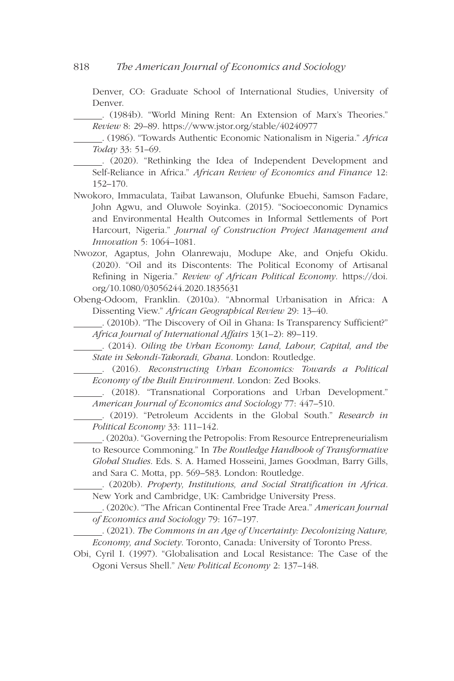Denver, CO: Graduate School of International Studies, University of Denver.

 . (1984b). "World Mining Rent: An Extension of Marx's Theories." *Review* 8: 29–89. <https://www.jstor.org/stable/40240977>

 . (1986). "Towards Authentic Economic Nationalism in Nigeria." *Africa Today* 33: 51–69.

 . (2020). "Rethinking the Idea of Independent Development and Self-Reliance in Africa." *African Review of Economics and Finance* 12: 152–170.

- Nwokoro, Immaculata, Taibat Lawanson, Olufunke Ebuehi, Samson Fadare, John Agwu, and Oluwole Soyinka. (2015). "Socioeconomic Dynamics and Environmental Health Outcomes in Informal Settlements of Port Harcourt, Nigeria." *Journal of Construction Project Management and Innovation* 5: 1064–1081.
- Nwozor, Agaptus, John Olanrewaju, Modupe Ake, and Onjefu Okidu. (2020). "Oil and its Discontents: The Political Economy of Artisanal Refining in Nigeria." *Review of African Political Economy*. [https://doi.](https://doi.org/10.1080/03056244.2020.1835631) [org/10.1080/03056244.2020.1835631](https://doi.org/10.1080/03056244.2020.1835631)
- Obeng-Odoom, Franklin. (2010a). "Abnormal Urbanisation in Africa: A Dissenting View." *African Geographical Review* 29: 13–40.

 . (2010b). "The Discovery of Oil in Ghana: Is Transparency Sufficient?" *Africa Journal of International Affairs* 13(1–2): 89–119.

 . (2014). *Oiling the Urban Economy: Land, Labour, Capital, and the State in Sekondi-Takoradi, Ghana*. London: Routledge.

 . (2016). *Reconstructing Urban Economics: Towards a Political Economy of the Built Environment*. London: Zed Books.

 . (2018). "Transnational Corporations and Urban Development." *American Journal of Economics and Sociology* 77: 447–510.

 . (2019). "Petroleum Accidents in the Global South." *Research in Political Economy* 33: 111–142.

 . (2020a). "Governing the Petropolis: From Resource Entrepreneurialism to Resource Commoning." In *The Routledge Handbook of Transformative Global Studies*. Eds. S. A. Hamed Hosseini, James Goodman, Barry Gills, and Sara C. Motta, pp. 569–583. London: Routledge.

 . (2020b). *Property, Institutions, and Social Stratification in Africa*. New York and Cambridge, UK: Cambridge University Press.

 . (2020c). "The African Continental Free Trade Area." *American Journal of Economics and Sociology* 79: 167–197.

 . (2021). *The Commons in an Age of Uncertainty: Decolonizing Nature, Economy, and Society*. Toronto, Canada: University of Toronto Press.

Obi, Cyril I. (1997). "Globalisation and Local Resistance: The Case of the Ogoni Versus Shell." *New Political Economy* 2: 137–148.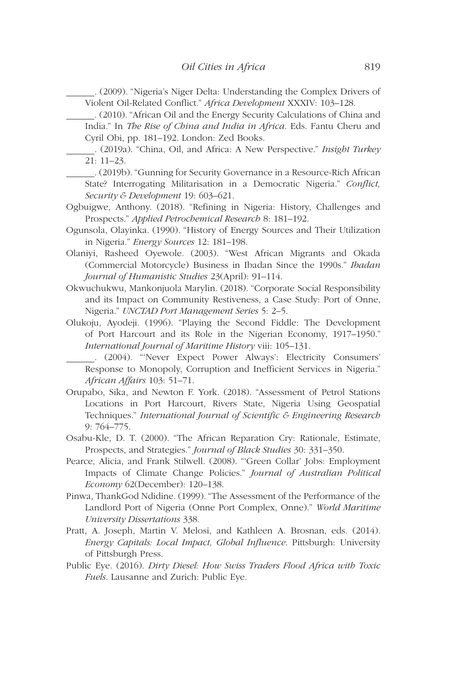. (2009). "Nigeria's Niger Delta: Understanding the Complex Drivers of Violent Oil-Related Conflict." *Africa Development* XXXIV: 103–128.

 . (2010). "African Oil and the Energy Security Calculations of China and India." In *The Rise of China and India in Africa*. Eds. Fantu Cheru and Cyril Obi, pp. 181–192. London: Zed Books.

 . (2019a). "China, Oil, and Africa: A New Perspective." *Insight Turkey* 21: 11–23.

- . (2019b). "Gunning for Security Governance in a Resource-Rich African State? Interrogating Militarisation in a Democratic Nigeria." *Conflict, Security & Development* 19: 603–621.
- Ogbuigwe, Anthony. (2018). "Refining in Nigeria: History, Challenges and Prospects." *Applied Petrochemical Research* 8: 181–192.
- Ogunsola, Olayinka. (1990). "History of Energy Sources and Their Utilization in Nigeria." *Energy Sources* 12: 181–198.
- Olaniyi, Rasheed Oyewole. (2003). "West African Migrants and Okada (Commercial Motorcycle) Business in Ibadan Since the 1990s." *Ibadan Journal of Humanistic Studies* 23(April): 91–114.
- Okwuchukwu, Mankonjuola Marylin. (2018). "Corporate Social Responsibility and its Impact on Community Restiveness, a Case Study: Port of Onne, Nigeria." *UNCTAD Port Management Series* 5: 2–5.
- Olukoju, Ayodeji. (1996). "Playing the Second Fiddle: The Development of Port Harcourt and its Role in the Nigerian Economy, 1917–1950." *International Journal of Maritime History* viii: 105–131.

 . (2004). "'Never Expect Power Always': Electricity Consumers' Response to Monopoly, Corruption and Inefficient Services in Nigeria." *African Affairs* 103: 51–71.

- Orupabo, Sika, and Newton F. York. (2018). "Assessment of Petrol Stations Locations in Port Harcourt, Rivers State, Nigeria Using Geospatial Techniques." *International Journal of Scientific & Engineering Research* 9: 764–775.
- Osabu-Kle, D. T. (2000). "The African Reparation Cry: Rationale, Estimate, Prospects, and Strategies." *Journal of Black Studies* 30: 331–350.
- Pearce, Alicia, and Frank Stilwell. (2008). "'Green Collar' Jobs: Employment Impacts of Climate Change Policies." *Journal of Australian Political Economy* 62(December): 120–138.
- Pinwa, ThankGod Ndidine. (1999). "The Assessment of the Performance of the Landlord Port of Nigeria (Onne Port Complex, Onne)." *World Maritime University Dissertations* 338.
- Pratt, A. Joseph, Martin V. Melosi, and Kathleen A. Brosnan, eds. (2014). *Energy Capitals: Local Impact, Global Influence*. Pittsburgh: University of Pittsburgh Press.
- Public Eye. (2016). *Dirty Diesel: How Swiss Traders Flood Africa with Toxic Fuels*. Lausanne and Zurich: Public Eye.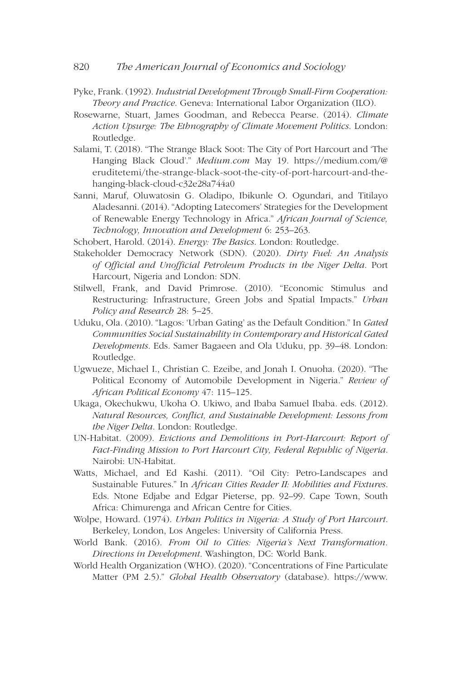### 820 *The American Journal of Economics and Sociology*

- Pyke, Frank. (1992). *Industrial Development Through Small-Firm Cooperation: Theory and Practice*. Geneva: International Labor Organization (ILO).
- Rosewarne, Stuart, James Goodman, and Rebecca Pearse. (2014). *Climate Action Upsurge: The Ethnography of Climate Movement Politics*. London: Routledge.
- Salami, T. (2018). "The Strange Black Soot: The City of Port Harcourt and 'The Hanging Black Cloud'." *Medium.com* May 19. [https://medium.com/@](https://medium.com/@eruditetemi/the-strange-black-soot-the-city-of-port-harcourt-and-the-hanging-black-cloud-c32e28a744a0) [eruditetemi/the-strange-black-soot-the-city-of-port-harcourt-and-the](https://medium.com/@eruditetemi/the-strange-black-soot-the-city-of-port-harcourt-and-the-hanging-black-cloud-c32e28a744a0)[hanging-black-cloud-c32e28a744a0](https://medium.com/@eruditetemi/the-strange-black-soot-the-city-of-port-harcourt-and-the-hanging-black-cloud-c32e28a744a0)
- Sanni, Maruf, Oluwatosin G. Oladipo, Ibikunle O. Ogundari, and Titilayo Aladesanni. (2014). "Adopting Latecomers' Strategies for the Development of Renewable Energy Technology in Africa." *African Journal of Science, Technology, Innovation and Development* 6: 253–263.

Schobert, Harold. (2014). *Energy: The Basics*. London: Routledge.

- Stakeholder Democracy Network (SDN). (2020). *Dirty Fuel: An Analysis of Official and Unofficial Petroleum Products in the Niger Delta*. Port Harcourt, Nigeria and London: SDN.
- Stilwell, Frank, and David Primrose. (2010). "Economic Stimulus and Restructuring: Infrastructure, Green Jobs and Spatial Impacts." *Urban Policy and Research* 28: 5–25.
- Uduku, Ola. (2010). "Lagos: 'Urban Gating' as the Default Condition." In *Gated Communities Social Sustainability in Contemporary and Historical Gated Developments*. Eds. Samer Bagaeen and Ola Uduku, pp. 39–48. London: Routledge.
- Ugwueze, Michael I., Christian C. Ezeibe, and Jonah I. Onuoha. (2020). "The Political Economy of Automobile Development in Nigeria." *Review of African Political Economy* 47: 115–125.
- Ukaga, Okechukwu, Ukoha O. Ukiwo, and Ibaba Samuel Ibaba. eds. (2012). *Natural Resources, Conflict, and Sustainable Development: Lessons from the Niger Delta*. London: Routledge.
- UN-Habitat. (2009). *Evictions and Demolitions in Port-Harcourt: Report of Fact-Finding Mission to Port Harcourt City, Federal Republic of Nigeria*. Nairobi: UN-Habitat.
- Watts, Michael, and Ed Kashi. (2011). "Oil City: Petro-Landscapes and Sustainable Futures." In *African Cities Reader II: Mobilities and Fixtures*. Eds. Ntone Edjabe and Edgar Pieterse, pp. 92–99. Cape Town, South Africa: Chimurenga and African Centre for Cities.
- Wolpe, Howard. (1974). *Urban Politics in Nigeria: A Study of Port Harcourt*. Berkeley, London, Los Angeles: University of California Press.
- World Bank. (2016). *From Oil to Cities: Nigeria's Next Transformation. Directions in Development*. Washington, DC: World Bank.
- World Health Organization (WHO). (2020). "Concentrations of Fine Particulate Matter (PM 2.5)." *Global Health Observatory* (database). [https://www.](https://www.who.int/data/gho/data/indicators/indicator-details/GHO/concentrations-of-fine-particulate-matter-(pm2-5))